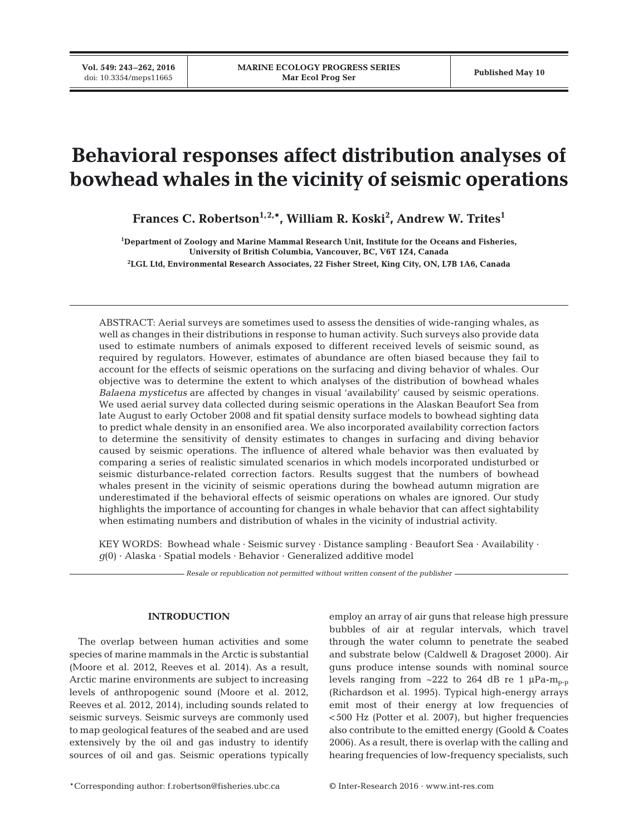# **Behavioral responses affect distribution analyses of bowhead whales in the vicinity of seismic operations**

**Frances C. Robertson1,2,\*, William R. Koski2 , Andrew W. Trites1**

**1 Department of Zoology and Marine Mammal Research Unit, Institute for the Oceans and Fisheries, University of British Columbia, Vancouver, BC, V6T 1Z4, Canada 2 LGL Ltd, Environmental Research Associates, 22 Fisher Street, King City, ON, L7B 1A6, Canada**

ABSTRACT: Aerial surveys are sometimes used to assess the densities of wide-ranging whales, as well as changes in their distributions in response to human activity. Such surveys also provide data used to estimate numbers of animals exposed to different received levels of seismic sound, as required by regulators. However, estimates of abundance are often biased because they fail to account for the effects of seismic operations on the surfacing and diving behavior of whales. Our objective was to determine the extent to which analyses of the distribution of bowhead whales *Balaena mysticetus* are affected by changes in visual 'availability' caused by seismic operations. We used aerial survey data collected during seismic operations in the Alaskan Beaufort Sea from late August to early October 2008 and fit spatial density surface models to bowhead sighting data to predict whale density in an ensonified area. We also incorporated availability correction factors to determine the sensitivity of density estimates to changes in surfacing and diving behavior caused by seismic operations. The influence of altered whale behavior was then evaluated by comparing a series of realistic simulated scenarios in which models incorporated undisturbed or seismic disturbance-related correction factors. Results suggest that the numbers of bowhead whales present in the vicinity of seismic operations during the bowhead autumn migration are underestimated if the behavioral effects of seismic operations on whales are ignored. Our study highlights the importance of accounting for changes in whale behavior that can affect sightability when estimating numbers and distribution of whales in the vicinity of industrial activity.

KEY WORDS: Bowhead whale · Seismic survey · Distance sampling · Beaufort Sea · Availability ·  $q(0)$  · Alaska · Spatial models · Behavior · Generalized additive model

*Resale or republication not permitted without written consent of the publisher*

## **INTRODUCTION**

The overlap between human activities and some species of marine mammals in the Arctic is substantial (Moore et al. 2012, Reeves et al. 2014). As a result, Arctic marine environments are subject to increasing levels of anthropogenic sound (Moore et al. 2012, Reeves et al. 2012, 2014), including sounds related to seismic surveys. Seismic surveys are commonly used to map geological features of the seabed and are used extensively by the oil and gas industry to identify sources of oil and gas. Seismic operations typically employ an array of air guns that release high pressure bubbles of air at regular intervals, which travel through the water column to penetrate the seabed and substrate below (Caldwell & Dragoset 2000). Air guns produce intense sounds with nominal source levels ranging from  $\sim$ 222 to 264 dB re 1  $\mu$ Pa-m<sub>p-p</sub> (Richardson et al. 1995). Typical high-energy arrays emit most of their energy at low frequencies of <500 Hz (Potter et al. 2007), but higher frequencies also contribute to the emitted energy (Goold & Coates 2006). As a result, there is overlap with the calling and hearing frequencies of low-frequency specialists, such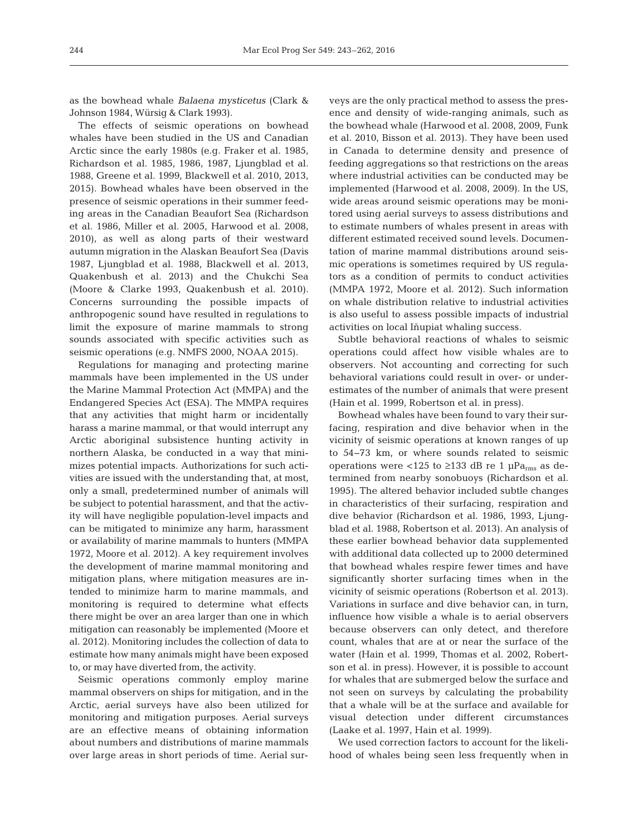as the bowhead whale *Balaena mysticetus* (Clark & Johnson 1984, Würsig & Clark 1993).

The effects of seismic operations on bowhead whales have been studied in the US and Canadian Arctic since the early 1980s (e.g. Fraker et al. 1985, Richardson et al. 1985, 1986, 1987, Ljungblad et al. 1988, Greene et al. 1999, Blackwell et al. 2010, 2013, 2015). Bowhead whales have been observed in the presence of seismic operations in their summer feeding areas in the Canadian Beaufort Sea (Richardson et al. 1986, Miller et al. 2005, Harwood et al. 2008, 2010), as well as along parts of their westward autumn migration in the Alaskan Beaufort Sea (Davis 1987, Ljungblad et al. 1988, Blackwell et al. 2013, Quakenbush et al. 2013) and the Chukchi Sea (Moore & Clarke 1993, Quakenbush et al. 2010). Concerns surrounding the possible impacts of anthropogenic sound have resulted in regulations to limit the exposure of marine mammals to strong sounds associated with specific activities such as seismic operations (e.g. NMFS 2000, NOAA 2015).

Regulations for managing and protecting marine mammals have been implemented in the US under the Marine Mammal Protection Act (MMPA) and the Endangered Species Act (ESA). The MMPA requires that any activities that might harm or incidentally harass a marine mammal, or that would interrupt any Arctic aboriginal subsistence hunting activity in northern Alaska, be conducted in a way that minimizes potential impacts. Authorizations for such activities are issued with the understanding that, at most, only a small, predetermined number of animals will be subject to potential harassment, and that the activity will have negligible population-level impacts and can be mitigated to minimize any harm, harassment or availability of marine mammals to hunters (MMPA 1972, Moore et al. 2012). A key requirement involves the development of marine mammal monitoring and mitigation plans, where mitigation measures are intended to minimize harm to marine mammals, and monitoring is required to determine what effects there might be over an area larger than one in which mitigation can reasonably be implemented (Moore et al. 2012). Monitoring includes the collection of data to estimate how many animals might have been exposed to, or may have diverted from, the activity.

Seismic operations commonly employ marine mammal observers on ships for mitigation, and in the Arctic, aerial surveys have also been utilized for monitoring and mitigation purposes. Aerial surveys are an effective means of obtaining information about numbers and distributions of marine mammals over large areas in short periods of time. Aerial surveys are the only practical method to assess the presence and density of wide-ranging animals, such as the bowhead whale (Harwood et al. 2008, 2009, Funk et al. 2010, Bisson et al. 2013). They have been used in Canada to determine density and presence of feeding aggregations so that restrictions on the areas where industrial activities can be conducted may be implemented (Harwood et al. 2008, 2009). In the US, wide areas around seismic operations may be monitored using aerial surveys to assess distributions and to estimate numbers of whales present in areas with different estimated received sound levels. Documentation of marine mammal distributions around seismic operations is sometimes required by US regulators as a condition of permits to conduct activities (MMPA 1972, Moore et al. 2012). Such information on whale distribution relative to industrial activities is also useful to assess possible impacts of industrial activities on local Iñupiat whaling success.

Subtle behavioral reactions of whales to seismic operations could affect how visible whales are to observers. Not accounting and correcting for such behavioral variations could result in over- or underestimates of the number of animals that were present (Hain et al. 1999, Robertson et al. in press).

Bowhead whales have been found to vary their surfacing, respiration and dive behavior when in the vicinity of seismic operations at known ranges of up to 54−73 km, or where sounds related to seismic operations were <125 to ≥133 dB re 1 µPa<sub>rms</sub> as determined from nearby sonobuoys (Richardson et al. 1995). The altered behavior included subtle changes in characteristics of their surfacing, respiration and dive behavior (Richardson et al. 1986, 1993, Ljungblad et al. 1988, Robertson et al. 2013). An analysis of these earlier bowhead behavior data supplemented with additional data collected up to 2000 determined that bowhead whales respire fewer times and have significantly shorter surfacing times when in the vicinity of seismic operations (Robertson et al. 2013). Variations in surface and dive behavior can, in turn, influence how visible a whale is to aerial observers because observers can only detect, and therefore count, whales that are at or near the surface of the water (Hain et al. 1999, Thomas et al. 2002, Robertson et al. in press). However, it is possible to account for whales that are submerged below the surface and not seen on surveys by calculating the probability that a whale will be at the surface and available for visual detection under different circumstances (Laake et al. 1997, Hain et al. 1999).

We used correction factors to account for the likelihood of whales being seen less frequently when in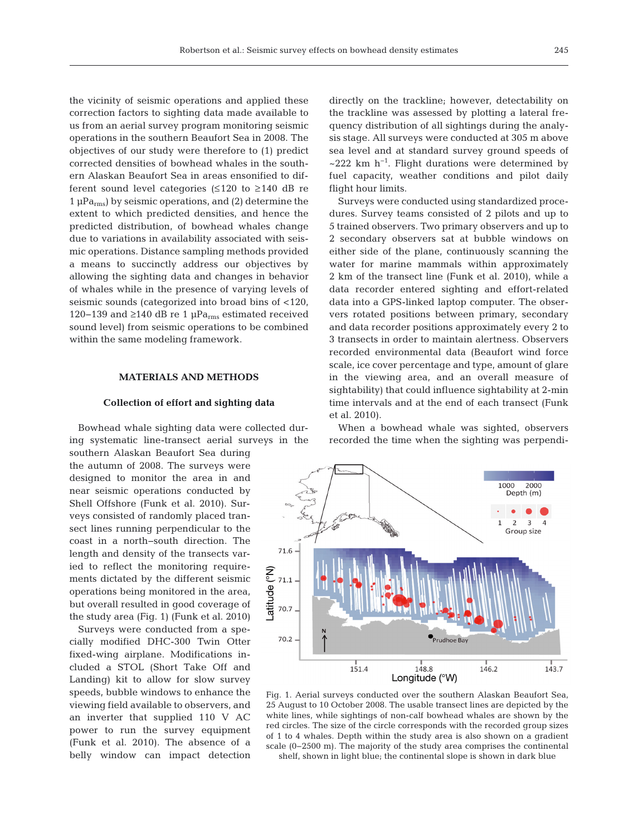the vicinity of seismic operations and applied these correction factors to sighting data made available to us from an aerial survey program monitoring seismic operations in the southern Beaufort Sea in 2008. The objectives of our study were therefore to (1) predict corrected densities of bowhead whales in the southern Alaskan Beaufort Sea in areas ensonified to different sound level categories  $(\leq 120 \text{ to } \geq 140 \text{ dB} \text{ re})$  $1 \mu Pa$ <sub>rms</sub>) by seismic operations, and (2) determine the extent to which predicted densities, and hence the predicted distribution, of bowhead whales change due to variations in availability associated with seismic operations. Distance sampling methods provided a means to succinctly address our objectives by allowing the sighting data and changes in behavior of whales while in the presence of varying levels of seismic sounds (categorized into broad bins of <120, 120−139 and ≥140 dB re 1 µPa<sub>rms</sub> estimated received sound level) from seismic operations to be combined within the same modeling framework.

### **MATERIALS AND METHODS**

#### **Collection of effort and sighting data**

Bowhead whale sighting data were collected during systematic line-transect aerial surveys in the

southern Alaskan Beaufort Sea during the autumn of 2008. The surveys were designed to monitor the area in and near seismic operations conducted by Shell Offshore (Funk et al. 2010). Surveys consisted of randomly placed transect lines running perpendicular to the coast in a north−south direction. The length and density of the transects varied to reflect the monitoring requirements dictated by the different seismic operations being monitored in the area, but overall resulted in good coverage of the study area (Fig. 1) (Funk et al. 2010)

Surveys were conducted from a specially modified DHC-300 Twin Otter fixed-wing airplane. Modifications in cluded a STOL (Short Take Off and Landing) kit to allow for slow survey speeds, bubble windows to enhance the viewing field available to observers, and an inverter that supplied 110 V AC power to run the survey equipment (Funk et al. 2010). The absence of a belly window can impact detection directly on the trackline; however, detectability on the trackline was assessed by plotting a lateral frequency distribution of all sightings during the analysis stage. All surveys were conducted at 305 m above sea level and at standard survey ground speeds of  $\sim$ 222 km h<sup>-1</sup>. Flight durations were determined by fuel capacity, weather conditions and pilot daily flight hour limits.

Surveys were conducted using standardized procedures. Survey teams consisted of 2 pilots and up to 5 trained observers. Two primary observers and up to 2 secondary observers sat at bubble windows on either side of the plane, continuously scanning the water for marine mammals within approximately 2 km of the transect line (Funk et al. 2010), while a data recorder entered sighting and effort-related data into a GPS-linked laptop computer. The observers rotated positions between primary, secondary and data recorder positions approximately every 2 to 3 transects in order to maintain alertness. Observers recorded environmental data (Beaufort wind force scale, ice cover percentage and type, amount of glare in the viewing area, and an overall measure of sightability) that could influence sightability at 2-min time intervals and at the end of each transect (Funk et al. 2010).

When a bowhead whale was sighted, observers recorded the time when the sighting was perpendi-



Fig. 1. Aerial surveys conducted over the southern Alaskan Beaufort Sea, 25 August to 10 October 2008. The usable transect lines are depicted by the white lines, while sightings of non-calf bowhead whales are shown by the red circles. The size of the circle corresponds with the recorded group sizes of 1 to 4 whales. Depth within the study area is also shown on a gradient scale (0−2500 m). The majority of the study area comprises the continental shelf, shown in light blue; the continental slope is shown in dark blue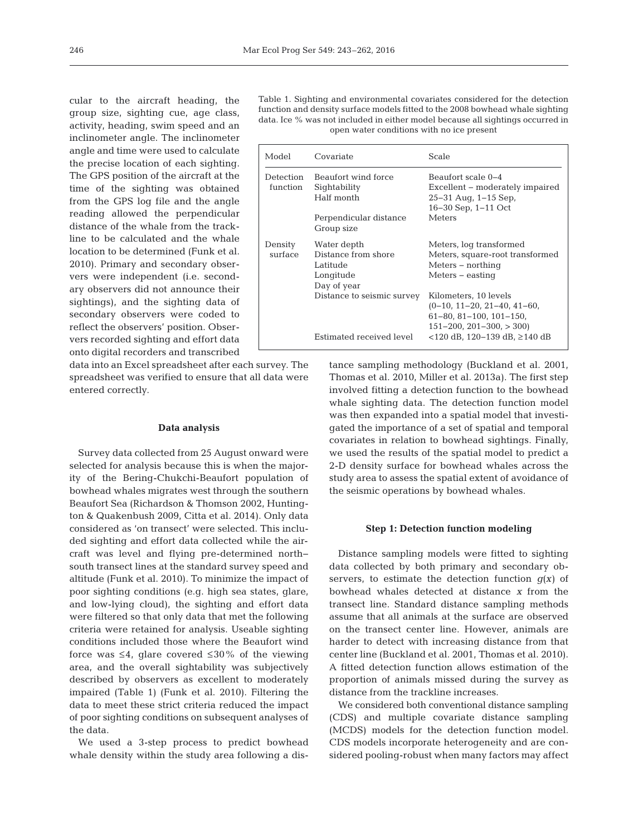÷.

cular to the aircraft heading, the group size, sighting cue, age class, activity, heading, swim speed and an inclinometer angle. The inclinometer angle and time were used to calculate the precise location of each sighting. The GPS position of the aircraft at the time of the sighting was obtained from the GPS log file and the angle reading allowed the perpendicular distance of the whale from the trackline to be calculated and the whale location to be determined (Funk et al. 2010). Primary and secondary observers were independent (i.e. secondary observers did not announce their sightings), and the sighting data of secondary observers were coded to reflect the observers' position. Observers recorded sighting and effort data onto digital recorders and transcribed

data into an Excel spreadsheet after each survey. The spreadsheet was verified to ensure that all data were entered correctly.

#### **Data analysis**

Survey data collected from 25 August onward were selected for analysis because this is when the majority of the Bering-Chukchi-Beaufort population of bowhead whales migrates west through the southern Beaufort Sea (Richardson & Thomson 2002, Huntington & Quakenbush 2009, Citta et al. 2014). Only data considered as 'on transect' were selected. This included sighting and effort data collected while the aircraft was level and flying pre-determined north− south transect lines at the standard survey speed and altitude (Funk et al. 2010). To minimize the impact of poor sighting conditions (e.g. high sea states, glare, and low-lying cloud), the sighting and effort data were filtered so that only data that met the following criteria were retained for analysis. Useable sighting conditions included those where the Beaufort wind force was  $\leq 4$ , glare covered  $\leq 30\%$  of the viewing area, and the overall sightability was subjectively described by observers as excellent to moderately impaired (Table 1) (Funk et al. 2010). Filtering the data to meet these strict criteria reduced the impact of poor sighting conditions on subsequent analyses of the data.

We used a 3-step process to predict bowhead whale density within the study area following a dis-

Table 1. Sighting and environmental covariates considered for the detection function and density surface models fitted to the 2008 bowhead whale sighting data. Ice % was not included in either model because all sightings occurred in open water conditions with no ice present

| Model              | Covariate                                                                  | Scale                                                                                                                        |  |  |
|--------------------|----------------------------------------------------------------------------|------------------------------------------------------------------------------------------------------------------------------|--|--|
| Detection          | Beaufort wind force                                                        | Beaufort scale 0-4                                                                                                           |  |  |
| function           | Sightability<br>Half month                                                 | Excellent – moderately impaired<br>$25-31$ Aug, $1-15$ Sep,                                                                  |  |  |
|                    | Perpendicular distance<br>Group size                                       | $16-30$ Sep, $1-11$ Oct<br>Meters                                                                                            |  |  |
| Density<br>surface | Water depth<br>Distance from shore<br>Latitude<br>Longitude<br>Day of year | Meters, log transformed<br>Meters, square-root transformed<br>Meters – northing<br>$Meters - easting$                        |  |  |
|                    | Distance to seismic survey                                                 | Kilometers, 10 levels<br>$(0-10, 11-20, 21-40, 41-60,$<br>$61-80, 81-100, 101-150,$<br>$151 - 200$ , $201 - 300$ , $> 300$ ) |  |  |
|                    | Estimated received level                                                   | <120 dB, 120–139 dB, ≥140 dB                                                                                                 |  |  |

tance sampling methodology (Buckland et al. 2001, Thomas et al. 2010, Miller et al. 2013a). The first step involved fitting a detection function to the bowhead whale sighting data. The detection function model was then expanded into a spatial model that investigated the importance of a set of spatial and temporal covariates in relation to bowhead sightings. Finally, we used the results of the spatial model to predict a 2-D density surface for bowhead whales across the study area to assess the spatial extent of avoidance of the seismic operations by bowhead whales.

#### **Step 1: Detection function modeling**

Distance sampling models were fitted to sighting data collected by both primary and secondary observers, to estimate the detection function  $q(x)$  of bowhead whales detected at distance *x* from the transect line. Standard distance sampling methods assume that all animals at the surface are observed on the transect center line. However, animals are harder to detect with increasing distance from that center line (Buckland et al. 2001, Thomas et al. 2010). A fitted detection function allows estimation of the proportion of animals missed during the survey as distance from the trackline increases.

We considered both conventional distance sampling (CDS) and multiple covariate distance sampling (MCDS) models for the detection function model. CDS models incorporate heterogeneity and are considered pooling-robust when many factors may affect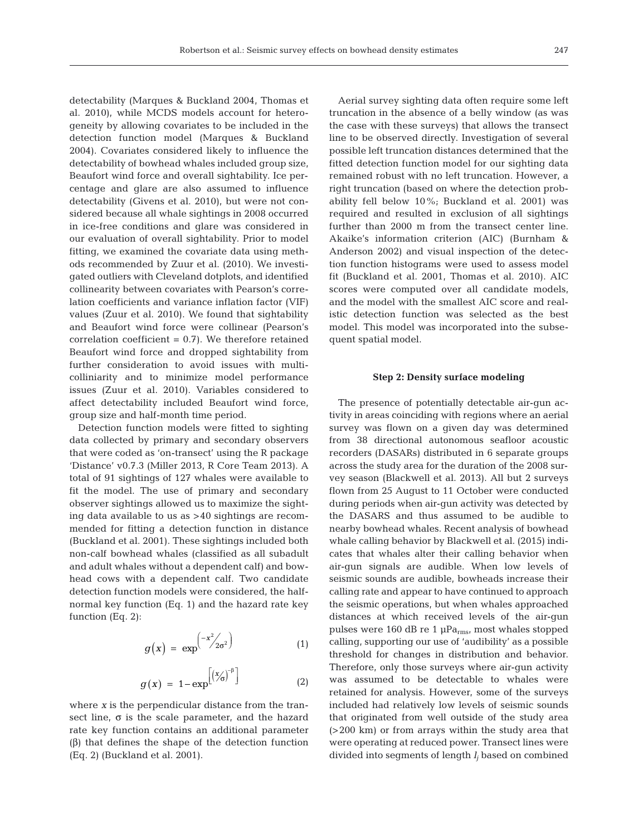detectability (Marques & Buckland 2004, Thomas et al. 2010), while MCDS models account for heterogeneity by allowing covariates to be included in the detection function model (Marques & Buckland 2004). Covariates considered likely to influence the detectability of bowhead whales included group size, Beaufort wind force and overall sightability. Ice percentage and glare are also assumed to influence detectability (Givens et al. 2010), but were not considered because all whale sightings in 2008 occurred in ice-free conditions and glare was considered in our evaluation of overall sightability. Prior to model fitting, we examined the covariate data using methods recommended by Zuur et al. (2010). We investigated outliers with Cleveland dotplots, and identified collinearity between covariates with Pearson's correlation coefficients and variance inflation factor (VIF) values (Zuur et al. 2010). We found that sightability and Beaufort wind force were collinear (Pearson's correlation coefficient  $= 0.7$ ). We therefore retained Beaufort wind force and dropped sightability from further consideration to avoid issues with multicolliniarity and to minimize model performance issues (Zuur et al. 2010). Variables considered to affect detectability included Beaufort wind force, group size and half-month time period.

Detection function models were fitted to sighting data collected by primary and secondary observers that were coded as 'on-transect' using the R package 'Distance' v0.7.3 (Miller 2013, R Core Team 2013). A total of 91 sightings of 127 whales were available to fit the model. The use of primary and secondary observer sightings allowed us to maximize the sighting data available to us as >40 sightings are recommended for fitting a detection function in distance (Buckland et al. 2001). These sightings included both non-calf bowhead whales (classified as all subadult and adult whales without a dependent calf) and bowhead cows with a dependent calf. Two candidate detection function models were considered, the halfnormal key function (Eq. 1) and the hazard rate key function (Eq. 2):

$$
g(x) = \exp^{\left(-x^2/2\sigma^2\right)} \tag{1}
$$

$$
g(x) = 1 - \exp^{[(x/\sigma)^{-\beta}]} \tag{2}
$$

where *x* is the perpendicular distance from the transect line, σ is the scale parameter, and the hazard rate key function contains an additional parameter (β) that defines the shape of the detection function (Eq. 2) (Buckland et al. 2001).

Aerial survey sighting data often require some left truncation in the absence of a belly window (as was the case with these surveys) that allows the transect line to be observed directly. Investigation of several possible left truncation distances determined that the fitted detection function model for our sighting data remained robust with no left truncation. However, a right truncation (based on where the detection probability fell below 10%; Buckland et al. 2001) was required and resulted in exclusion of all sightings further than 2000 m from the transect center line. Akaike's information criterion (AIC) (Burnham & Anderson 2002) and visual inspection of the detection function histograms were used to assess model fit (Buckland et al. 2001, Thomas et al. 2010). AIC scores were computed over all candidate models, and the model with the smallest AIC score and realistic detection function was selected as the best model. This model was incorporated into the subsequent spatial model.

## **Step 2: Density surface modeling**

The presence of potentially detectable air-gun activity in areas coinciding with regions where an aerial survey was flown on a given day was determined from 38 directional autonomous seafloor acoustic recorders (DASARs) distributed in 6 separate groups across the study area for the duration of the 2008 survey season (Blackwell et al. 2013). All but 2 surveys flown from 25 August to 11 October were conducted during periods when air-gun activity was detected by the DASARS and thus assumed to be audible to nearby bowhead whales. Recent analysis of bowhead whale calling behavior by Blackwell et al. (2015) indicates that whales alter their calling behavior when air-gun signals are audible. When low levels of seismic sounds are audible, bowheads increase their calling rate and appear to have continued to approach the seismic operations, but when whales approached distances at which received levels of the air-gun pulses were 160 dB re 1  $\mu$ Pa<sub>rms</sub>, most whales stopped calling, supporting our use of 'audibility' as a possible threshold for changes in distribution and behavior. Therefore, only those surveys where air-gun activity was assumed to be detectable to whales were retained for analysis. However, some of the surveys included had relatively low levels of seismic sounds that originated from well outside of the study area (>200 km) or from arrays within the study area that were operating at reduced power. Transect lines were divided into segments of length *lj* based on combined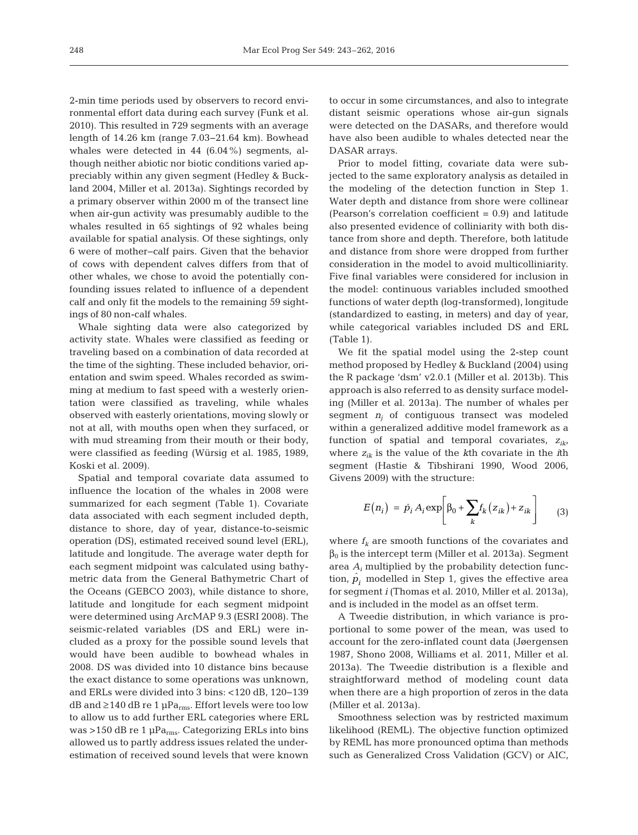2-min time periods used by observers to record environmental effort data during each survey (Funk et al. 2010). This resulted in 729 segments with an average length of 14.26 km (range 7.03−21.64 km). Bowhead whales were detected in 44 (6.04%) segments, although neither abiotic nor biotic conditions varied appreciably within any given segment (Hedley & Buckland 2004, Miller et al. 2013a). Sightings recorded by a primary observer within 2000 m of the transect line when air-gun activity was presumably audible to the whales resulted in 65 sightings of 92 whales being available for spatial analysis. Of these sightings, only 6 were of mother− calf pairs. Given that the behavior of cows with dependent calves differs from that of other whales, we chose to avoid the potentially confounding issues related to influence of a dependent calf and only fit the models to the remaining 59 sightings of 80 non-calf whales.

Whale sighting data were also categorized by activity state. Whales were classified as feeding or traveling based on a combination of data recorded at the time of the sighting. These included behavior, orientation and swim speed. Whales recorded as swimming at medium to fast speed with a westerly orientation were classified as traveling, while whales observed with easterly orientations, moving slowly or not at all, with mouths open when they surfaced, or with mud streaming from their mouth or their body, were classified as feeding (Würsig et al. 1985, 1989, Koski et al. 2009).

Spatial and temporal covariate data assumed to influence the location of the whales in 2008 were summarized for each segment (Table 1). Covariate data associated with each segment included depth, distance to shore, day of year, distance-to-seismic operation (DS), estimated received sound level (ERL), latitude and longitude. The average water depth for each segment midpoint was calculated using bathymetric data from the General Bathymetric Chart of the Oceans (GEBCO 2003), while distance to shore, latitude and longitude for each segment midpoint were determined using ArcMAP 9.3 (ESRI 2008). The seismic-related variables (DS and ERL) were in cluded as a proxy for the possible sound levels that would have been audible to bowhead whales in 2008. DS was divided into 10 distance bins because the exact distance to some operations was unknown, and ERLs were divided into 3 bins: <120 dB, 120−139 dB and  $\geq$  140 dB re 1 µPa<sub>rms</sub>. Effort levels were too low to allow us to add further ERL categories where ERL was >150 dB re 1  $\mu$ Pa<sub>rms</sub>. Categorizing ERLs into bins allowed us to partly address issues related the underestimation of received sound levels that were known to occur in some circumstances, and also to integrate distant seismic operations whose air-gun signals were detected on the DASARs, and therefore would have also been audible to whales detected near the DASAR arrays.

Prior to model fitting, covariate data were subjected to the same exploratory analysis as detailed in the modeling of the detection function in Step 1. Water depth and distance from shore were collinear (Pearson's correlation coefficient = 0.9) and latitude also presented evidence of colliniarity with both distance from shore and depth. Therefore, both latitude and distance from shore were dropped from further consideration in the model to avoid multicolliniarity. Five final variables were considered for inclusion in the model: continuous variables included smoothed functions of water depth (log-transformed), longitude (standardized to easting, in meters) and day of year, while categorical variables included DS and ERL (Table 1).

We fit the spatial model using the 2-step count method proposed by Hedley & Buckland (2004) using the R package 'dsm' v2.0.1 (Miller et al. 2013b). This approach is also referred to as density surface modeling (Miller et al. 2013a). The number of whales per segment  $n_i$  of contiguous transect was modeled within a generalized additive model framework as a function of spatial and temporal covariates, *zik*, where *zik* is the value of the *k*th covariate in the *i*th segment (Hastie & Tibshirani 1990, Wood 2006, Givens 2009) with the structure:

$$
E(n_i) = \hat{p}_i A_i \exp\left[\beta_0 + \sum_k f_k (z_{ik}) + z_{ik}\right]
$$
 (3)

where  $f_k$  are smooth functions of the covariates and  $β<sub>0</sub>$  is the intercept term (Miller et al. 2013a). Segment area *Ai* multiplied by the probability detection function,  $\hat{p}_i$  modelled in Step 1, gives the effective area for segment *i* (Thomas et al. 2010, Miller et al. 2013a), and is included in the model as an offset term.

A Tweedie distribution, in which variance is proportional to some power of the mean, was used to account for the zero-inflated count data (Jøergensen 1987, Shono 2008, Williams et al. 2011, Miller et al. 2013a). The Tweedie distribution is a flexible and straightforward method of modeling count data when there are a high proportion of zeros in the data (Miller et al. 2013a).

Smoothness selection was by restricted maximum likelihood (REML). The objective function optimized by REML has more pronounced optima than methods such as Generalized Cross Validation (GCV) or AIC,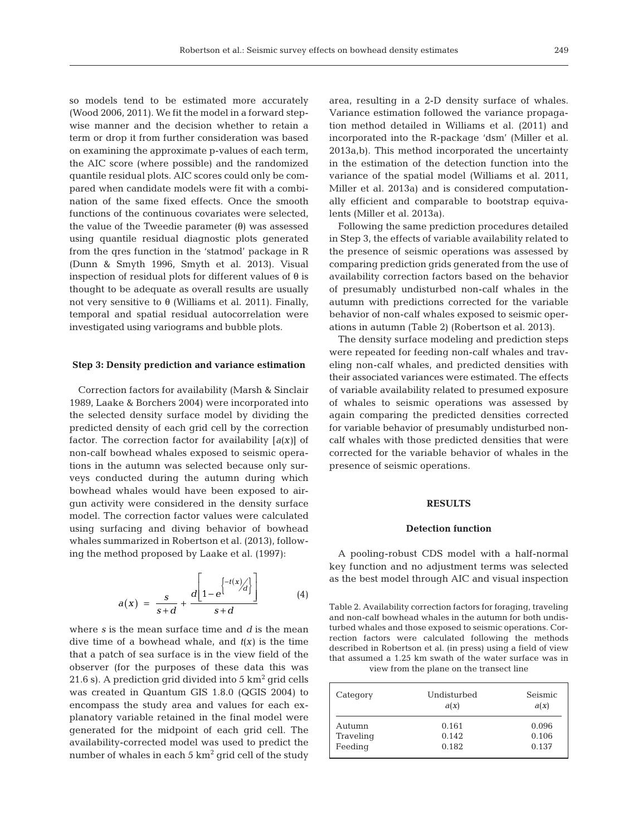so models tend to be estimated more accurately (Wood 2006, 2011). We fit the model in a forward stepwise manner and the decision whether to retain a term or drop it from further consideration was based on examining the approximate p-values of each term, the AIC score (where possible) and the randomized quantile residual plots. AIC scores could only be compared when candidate models were fit with a combination of the same fixed effects. Once the smooth functions of the continuous covariates were selected, the value of the Tweedie parameter (θ) was assessed using quantile residual diagnostic plots generated from the qres function in the 'statmod' package in R (Dunn & Smyth 1996, Smyth et al. 2013). Visual inspection of residual plots for different values of  $\theta$  is thought to be adequate as overall results are usually not very sensitive to θ (Williams et al. 2011). Finally, temporal and spatial residual autocorrelation were investigated using variograms and bubble plots.

#### **Step 3: Density prediction and variance estimation**

Correction factors for availability (Marsh & Sinclair 1989, Laake & Borchers 2004) were incorporated into the selected density surface model by dividing the predicted density of each grid cell by the correction factor. The correction factor for availability *[a(x)*] of non-calf bowhead whales exposed to seismic operations in the autumn was selected because only surveys conducted during the autumn during which bowhead whales would have been exposed to airgun activity were considered in the density surface model. The correction factor values were calculated using surfacing and diving behavior of bowhead whales summarized in Robertson et al. (2013), following the method proposed by Laake et al. (1997):

$$
a(x) = \frac{s}{s+d} + \frac{d\left[1 - e^{\left\{\frac{-t(x)}{d}\right\}}\right]}{s+d} \tag{4}
$$

where *s* is the mean surface time and *d* is the mean dive time of a bowhead whale, and *t(x)* is the time that a patch of sea surface is in the view field of the observer (for the purposes of these data this was 21.6 s). A prediction grid divided into  $5 \text{ km}^2$  grid cells was created in Quantum GIS 1.8.0 (QGIS 2004) to encompass the study area and values for each explanatory variable retained in the final model were generated for the midpoint of each grid cell. The availability-corrected model was used to predict the number of whales in each  $5 \text{ km}^2$  grid cell of the study

area, resulting in a 2-D density surface of whales. Variance estimation followed the variance propagation method detailed in Williams et al. (2011) and incorporated into the R-package 'dsm' (Miller et al. 2013a,b). This method incorporated the uncertainty in the estimation of the detection function into the variance of the spatial model (Williams et al. 2011, Miller et al. 2013a) and is considered computationally efficient and comparable to bootstrap equivalents (Miller et al. 2013a).

Following the same prediction procedures detailed in Step 3, the effects of variable availability related to the presence of seismic operations was assessed by comparing prediction grids generated from the use of availability correction factors based on the behavior of presumably undisturbed non-calf whales in the autumn with predictions corrected for the variable behavior of non-calf whales exposed to seismic operations in autumn (Table 2) (Robertson et al. 2013).

The density surface modeling and prediction steps were repeated for feeding non-calf whales and traveling non-calf whales, and predicted densities with their associated variances were estimated. The effects of variable availability related to presumed exposure of whales to seismic operations was assessed by again comparing the predicted densities corrected for variable behavior of presumably undisturbed noncalf whales with those predicted densities that were corrected for the variable behavior of whales in the presence of seismic operations.

#### **RESULTS**

#### **Detection function**

A pooling-robust CDS model with a half-normal key function and no adjustment terms was selected as the best model through AIC and visual inspection

Table 2. Availability correction factors for foraging, traveling and non-calf bowhead whales in the autumn for both undisturbed whales and those exposed to seismic operations. Correction factors were calculated following the methods described in Robertson et al. (in press) using a field of view that assumed a 1.25 km swath of the water surface was in view from the plane on the transect line

| Category  | Undisturbed<br>a(x) | Seismic<br>a(x) |
|-----------|---------------------|-----------------|
| Autumn    | 0.161               | 0.096           |
| Traveling | 0.142               | 0.106           |
| Feeding   | 0.182               | 0.137           |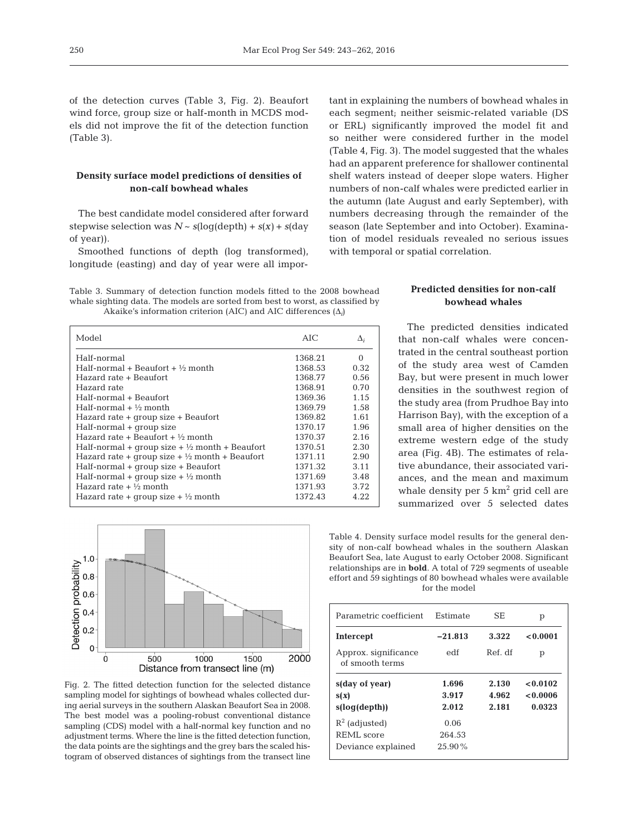of the detection curves (Table 3, Fig. 2). Beaufort wind force, group size or half-month in MCDS models did not improve the fit of the detection function (Table 3).

## **Density surface model predictions of densities of non-calf bowhead whales**

The best candidate model considered after forward stepwise selection was  $N \sim s(\log(\text{depth}) + s(x) + s(\text{day}))$ of year)).

Smoothed functions of depth (log transformed), longitude (easting) and day of year were all impor-

Table 3. Summary of detection function models fitted to the 2008 bowhead whale sighting data. The models are sorted from best to worst, as classified by Akaike's information criterion (AIC) and AIC differences (Δ*i*)

| Model                                                     | AIC.    | $\Delta_i$ |
|-----------------------------------------------------------|---------|------------|
| Half-normal                                               | 1368.21 | $\Omega$   |
| Half-normal + Beaufort + $\frac{1}{2}$ month              | 1368.53 | 0.32       |
| Hazard rate + Beaufort                                    | 1368.77 | 0.56       |
| Hazard rate                                               | 1368.91 | 0.70       |
| Half-normal + Beaufort                                    | 1369.36 | 1.15       |
| Half-normal $+$ 1/2 month                                 | 1369.79 | 1.58       |
| Hazard rate + group size + Beaufort                       | 1369.82 | 1.61       |
| Half-normal + group size                                  | 1370.17 | 1.96       |
| Hazard rate + Beaufort + $\frac{1}{2}$ month              | 1370.37 | 2.16       |
| Half-normal + group size $+ \frac{1}{2}$ month + Beaufort | 1370.51 | 2.30       |
| Hazard rate + group size + $\frac{1}{2}$ month + Beaufort | 1371.11 | 2.90       |
| Half-normal + group size + Beaufort                       | 1371.32 | 3.11       |
| Half-normal + group size + $\frac{1}{2}$ month            | 1371.69 | 3.48       |
| Hazard rate $+$ 1/2 month                                 | 1371.93 | 3.72       |
| Hazard rate + group size + $\frac{1}{2}$ month            | 1372.43 | 4.22       |



Fig. 2. The fitted detection function for the selected distance sampling model for sightings of bowhead whales collected during aerial surveys in the southern Alaskan Beaufort Sea in 2008. The best model was a pooling-robust conventional distance sampling (CDS) model with a half-normal key function and no adjustment terms. Where the line is the fitted detection function, the data points are the sightings and the grey bars the scaled histogram of observed distances of sightings from the transect line

tant in explaining the numbers of bowhead whales in each segment; neither seismic-related variable (DS or ERL) significantly improved the model fit and so neither were considered further in the model (Table 4, Fig. 3). The model suggested that the whales had an apparent preference for shallower continental shelf waters instead of deeper slope waters. Higher numbers of non-calf whales were predicted earlier in the autumn (late August and early September), with numbers decreasing through the remainder of the season (late September and into October). Examination of model residuals revealed no serious issues with temporal or spatial correlation.

# **Predicted densities for non-calf bowhead whales**

The predicted densities indicated that non-calf whales were concentrated in the central southeast portion of the study area west of Camden Bay, but were present in much lower densities in the southwest region of the study area (from Prudhoe Bay into Harrison Bay), with the exception of a small area of higher densities on the extreme western edge of the study area (Fig. 4B). The estimates of relative abundance, their associated variances, and the mean and maximum whale density per  $5 \text{ km}^2$  grid cell are summarized over 5 selected dates

Table 4. Density surface model results for the general density of non-calf bowhead whales in the southern Alaskan Beaufort Sea, late August to early October 2008. Significant relationships are in **bold**. A total of 729 segments of useable effort and 59 sightings of 80 bowhead whales were available for the model

| Parametric coefficient                                      | Estimate                    | SF.                     | р                              |
|-------------------------------------------------------------|-----------------------------|-------------------------|--------------------------------|
| Intercept                                                   | $-21.813$                   | 3.322                   | < 0.0001                       |
| Approx. significance<br>of smooth terms                     | edf                         | Ref. df                 | р                              |
| s(day of year)<br>s(x)<br>s(log(depth))                     | 1.696<br>3.917<br>2.012     | 2.130<br>4.962<br>2.181 | < 0.0102<br>< 0.0006<br>0.0323 |
| $R^2$ (adjusted)<br><b>REML</b> score<br>Deviance explained | 0.06<br>264.53<br>$25.90\%$ |                         |                                |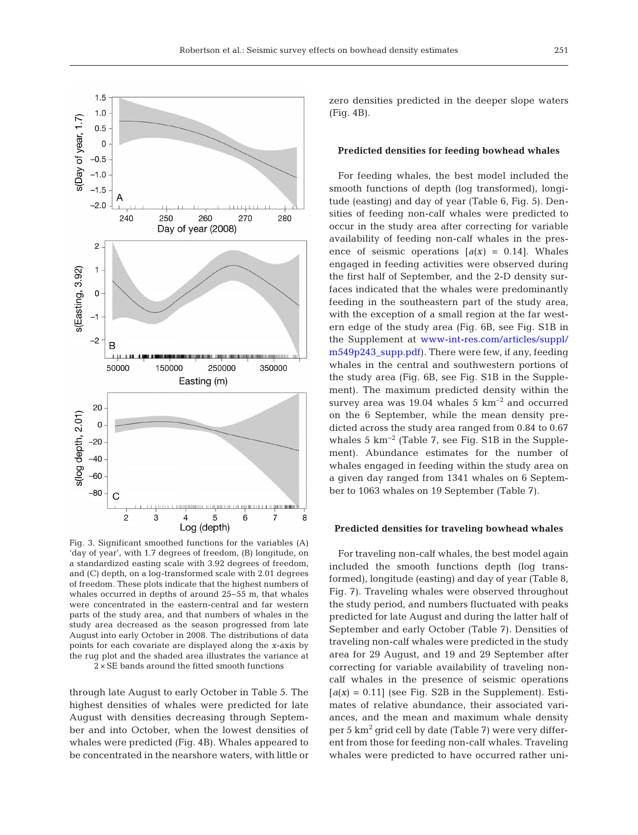

Fig. 3. Significant smoothed functions for the variables (A) 'day of year', with 1.7 degrees of freedom, (B) longitude, on a standardized easting scale with 3.92 degrees of freedom, and (C) depth, on a log-transformed scale with 2.01 degrees of freedom. These plots indicate that the highest numbers of whales occurred in depths of around 25−55 m, that whales were concentrated in the eastern-central and far western parts of the study area, and that numbers of whales in the study area decreased as the season progressed from late August into early October in 2008. The distributions of data points for each covariate are displayed along the *x*-axis by the rug plot and the shaded area illustrates the variance at

 $2 \times SE$  bands around the fitted smooth functions

through late August to early October in Table 5. The highest densities of whales were predicted for late August with densities decreasing through September and into October, when the lowest densities of whales were predicted (Fig. 4B). Whales appeared to be concentrated in the nearshore waters, with little or zero densities predicted in the deeper slope waters (Fig. 4B).

#### **Predicted densities for feeding bowhead whales**

For feeding whales, the best model included the smooth functions of depth (log transformed), longitude (easting) and day of year (Table 6, Fig. 5). Densities of feeding non-calf whales were predicted to occur in the study area after correcting for variable availability of feeding non-calf whales in the presence of seismic operations  $[a(x) = 0.14]$ . Whales engaged in feeding activities were observed during the first half of September, and the 2-D density surfaces indicated that the whales were predominantly feeding in the southeastern part of the study area, with the exception of a small region at the far western edge of the study area (Fig. 6B, see Fig. S1B in the Supplement at www-int-res.com/articles/suppl/ m549p243\_supp.pdf). There were few, if any, feeding whales in the central and southwestern portions of the study area (Fig. 6B, see Fig. S1B in the Supplement). The maximum predicted density within the survey area was  $19.04$  whales 5  $km^{-2}$  and occurred on the 6 September, while the mean density predicted across the study area ranged from 0.84 to 0.67 whales 5 km−2 (Table 7, see Fig. S1B in the Supplement). Abundance estimates for the number of whales engaged in feeding within the study area on a given day ranged from 1341 whales on 6 September to 1063 whales on 19 September (Table 7).

#### **Predicted densities for traveling bowhead whales**

For traveling non-calf whales, the best model again included the smooth functions depth (log transformed), longitude (easting) and day of year (Table 8, Fig. 7). Traveling whales were observed throughout the study period, and numbers fluctuated with peaks predicted for late August and during the latter half of September and early October (Table 7). Densities of traveling non-calf whales were predicted in the study area for 29 August, and 19 and 29 September after correcting for variable availability of traveling noncalf whales in the presence of seismic operations  $[a(x) = 0.11]$  (see Fig. S2B in the Supplement). Estimates of relative abundance, their associated variances, and the mean and maximum whale density per 5  $km^2$  grid cell by date (Table 7) were very different from those for feeding non-calf whales. Traveling whales were predicted to have occurred rather uni-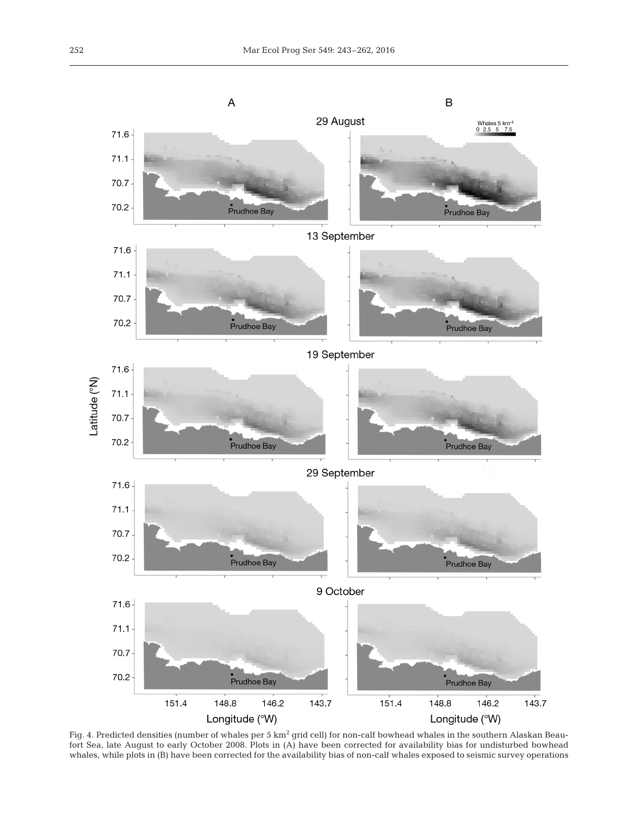

Fig. 4. Predicted densities (number of whales per 5 km<sup>2</sup> grid cell) for non-calf bowhead whales in the southern Alaskan Beaufort Sea, late August to early October 2008. Plots in (A) have been corrected for availability bias for undisturbed bowhead whales, while plots in (B) have been corrected for the availability bias of non-calf whales exposed to seismic survey operations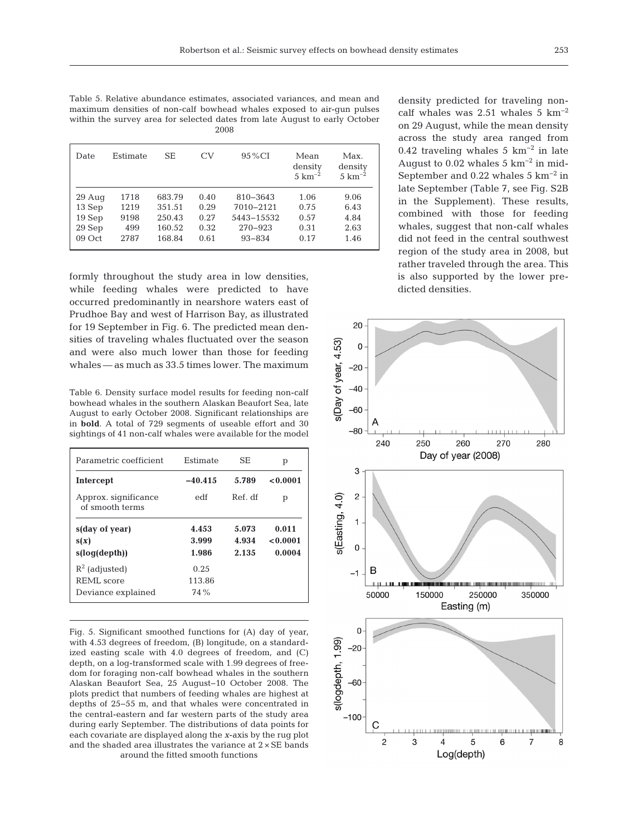Table 5. Relative abundance estimates, associated variances, and mean and maximum densities of non-calf bowhead whales exposed to air-gun pulses within the survey area for selected dates from late August to early October 2008

| Date     | Estimate | SЕ     | CV   | 95 % CI     | Mean<br>density<br>$5 \text{ km}^{-2}$ | Max.<br>density<br>$5 \text{ km}^{-2}$ |
|----------|----------|--------|------|-------------|----------------------------------------|----------------------------------------|
| $29$ Aug | 1718     | 683.79 | 0.40 | 810-3643    | 1.06                                   | 9.06                                   |
| 13 Sep   | 1219     | 351.51 | 0.29 | 7010-2121   | 0.75                                   | 6.43                                   |
| 19Sep    | 9198     | 250.43 | 0.27 | 5443-15532  | 0.57                                   | 4.84                                   |
| 29 Sep   | 499      | 160.52 | 0.32 | $270 - 923$ | 0.31                                   | 2.63                                   |
| 09 Oct   | 2787     | 168.84 | 0.61 | $93 - 834$  | 0.17                                   | 1.46                                   |

formly throughout the study area in low densities, while feeding whales were predicted to have occurred predominantly in nearshore waters east of Prudhoe Bay and west of Harrison Bay, as illustrated for 19 September in Fig. 6. The predicted mean densities of traveling whales fluctuated over the season and were also much lower than those for feeding whales — as much as 33.5 times lower. The maximum

Table 6. Density surface model results for feeding non-calf bowhead whales in the southern Alaskan Beaufort Sea, late August to early October 2008. Significant relationships are in **bold**. A total of 729 segments of useable effort and 30 sightings of 41 non-calf whales were available for the model

| Parametric coefficient                  | Estimate       | SE             | р                 |
|-----------------------------------------|----------------|----------------|-------------------|
| Intercept                               | $-40.415$      | 5.789          | 0.0001            |
| Approx. significance<br>of smooth terms | edf            | Ref. df        | р                 |
| s(day of year)<br>s(x)                  | 4.453<br>3.999 | 5.073<br>4.934 | 0.011<br>< 0.0001 |
| s(log(depth))                           | 1.986          | 2.135          | 0.0004            |
| $R^2$ (adjusted)                        | 0.25           |                |                   |
| REML score                              | 113.86         |                |                   |
| Deviance explained                      | 74 %           |                |                   |

Fig. 5. Significant smoothed functions for (A) day of year, with 4.53 degrees of freedom, (B) longitude, on a standardized easting scale with 4.0 degrees of freedom, and (C) depth, on a log-transformed scale with 1.99 degrees of freedom for foraging non-calf bowhead whales in the southern Alaskan Beaufort Sea, 25 August−10 October 2008. The plots predict that numbers of feeding whales are highest at depths of 25−55 m, and that whales were concentrated in the central-eastern and far western parts of the study area during early September. The distributions of data points for each covariate are displayed along the *x*-axis by the rug plot and the shaded area illustrates the variance at 2 × SE bands around the fitted smooth functions

density predicted for traveling noncalf whales was  $2.51$  whales  $5 \text{ km}^{-2}$ on 29 August, while the mean density across the study area ranged from 0.42 traveling whales 5  $km^{-2}$  in late August to  $0.02$  whales 5 km<sup>-2</sup> in mid-September and 0.22 whales 5 km−2 in late September (Table 7, see Fig. S2B in the Supplement). These results, combined with those for feeding whales, suggest that non-calf whales did not feed in the central southwest region of the study area in 2008, but rather traveled through the area. This is also supported by the lower predicted densities.

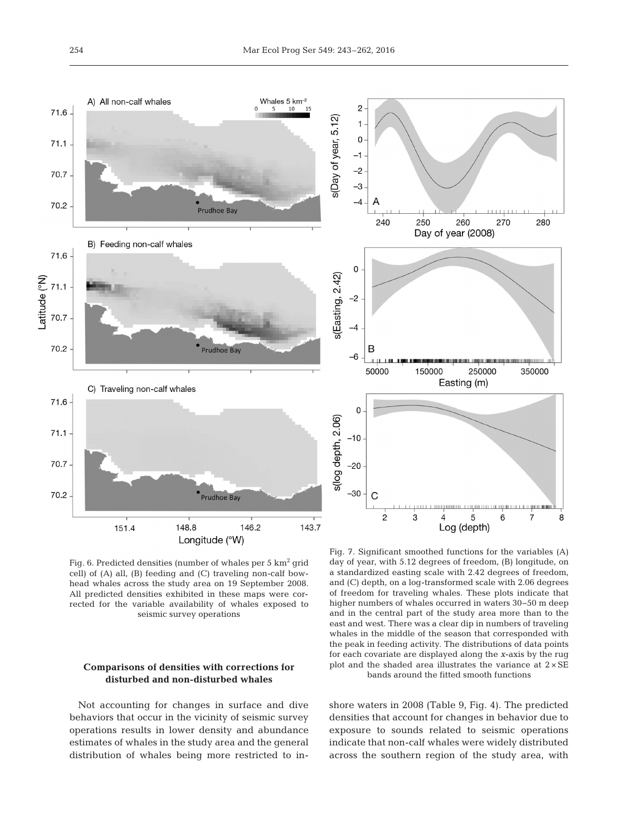

Fig. 6. Predicted densities (number of whales per 5 km<sup>2</sup> grid cell) of (A) all, (B) feeding and (C) traveling non-calf bowhead whales across the study area on 19 September 2008. All predicted densities exhibited in these maps were corrected for the variable availability of whales exposed to seismic survey operations

# **Comparisons of densities with corrections for disturbed and non-disturbed whales**

Not accounting for changes in surface and dive behaviors that occur in the vicinity of seismic survey operations results in lower density and abundance estimates of whales in the study area and the general distribution of whales being more restricted to in-

Fig. 7. Significant smoothed functions for the variables (A) day of year, with 5.12 degrees of freedom, (B) longitude, on a standardized easting scale with 2.42 degrees of freedom, and (C) depth, on a log-transformed scale with 2.06 degrees of freedom for traveling whales. These plots indicate that higher numbers of whales occurred in waters 30−50 m deep and in the central part of the study area more than to the east and west. There was a clear dip in numbers of traveling whales in the middle of the season that corresponded with the peak in feeding activity. The distributions of data points for each covariate are displayed along the *x*-axis by the rug plot and the shaded area illustrates the variance at  $2 \times SE$ bands around the fitted smooth functions

shore waters in 2008 (Table 9, Fig. 4). The predicted densities that account for changes in behavior due to exposure to sounds related to seismic operations indicate that non-calf whales were widely distributed across the southern region of the study area, with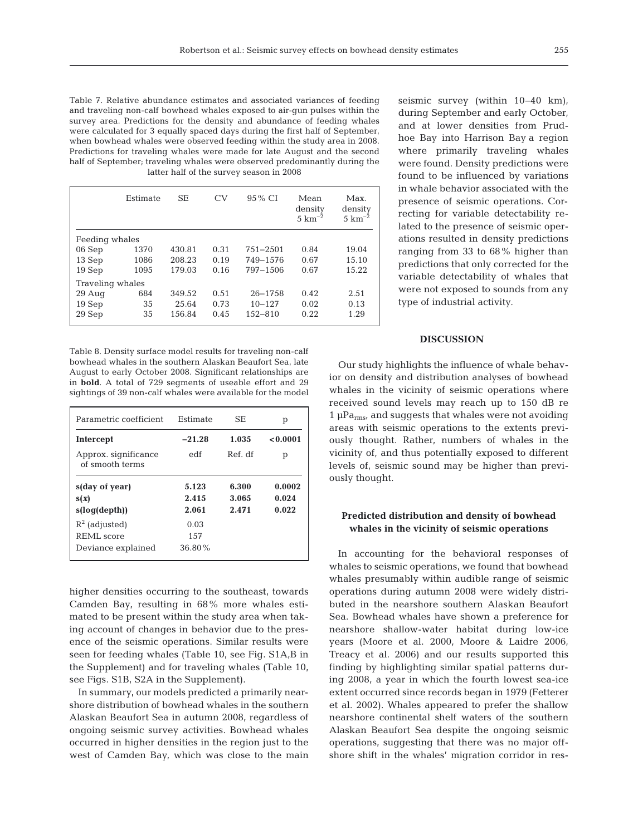Table 7. Relative abundance estimates and associated variances of feeding and traveling non-calf bowhead whales exposed to air-gun pulses within the survey area. Predictions for the density and abundance of feeding whales were calculated for 3 equally spaced days during the first half of September, when bowhead whales were observed feeding within the study area in 2008. Predictions for traveling whales were made for late August and the second half of September; traveling whales were observed predominantly during the latter half of the survey season in 2008

|                  | Estimate | <b>SE</b> | CV   | 95 % CI      | Mean<br>density<br>$5 \text{ km}^{-2}$ | Max.<br>density<br>$5 \text{ km}^{-2}$ |
|------------------|----------|-----------|------|--------------|----------------------------------------|----------------------------------------|
| Feeding whales   |          |           |      |              |                                        |                                        |
| 06 Sep           | 1370     | 430.81    | 0.31 | $751 - 2501$ | 0.84                                   | 19.04                                  |
| 13 Sep           | 1086     | 208.23    | 0.19 | 749-1576     | 0.67                                   | 15.10                                  |
| 19 Sep           | 1095     | 179.03    | 0.16 | 797-1506     | 0.67                                   | 15.22                                  |
| Traveling whales |          |           |      |              |                                        |                                        |
| $29$ Aug         | 684      | 349.52    | 0.51 | $26 - 1758$  | 0.42                                   | 2.51                                   |
| 19 Sep           | 35       | 25.64     | 0.73 | $10 - 127$   | 0.02                                   | 0.13                                   |
| 29 Sep           | 35       | 156.84    | 0.45 | $152 - 810$  | 0.22                                   | 1.29                                   |

Table 8. Density surface model results for traveling non-calf bowhead whales in the southern Alaskan Beaufort Sea, late August to early October 2008. Significant relationships are in **bold**. A total of 729 segments of useable effort and 29 sightings of 39 non-calf whales were available for the model

| Parametric coefficient                  | Estimate  | SF.     | р        |
|-----------------------------------------|-----------|---------|----------|
| Intercept                               | $-21.28$  | 1.035   | < 0.0001 |
| Approx. significance<br>of smooth terms | edf       | Ref. df | р        |
| s(day of year)                          | 5.123     | 6.300   | 0.0002   |
| s(x)                                    | 2.415     | 3.065   | 0.024    |
| s(log(depth))                           | 2.061     | 2.471   | 0.022    |
| $R^2$ (adjusted)                        | 0.03      |         |          |
| <b>REML</b> score                       | 1.57      |         |          |
| Deviance explained                      | $36.80\%$ |         |          |

higher densities occurring to the southeast, towards Camden Bay, resulting in 68% more whales estimated to be present within the study area when taking account of changes in behavior due to the presence of the seismic operations. Similar results were seen for feeding whales (Table 10, see Fig. S1A,B in the Supplement) and for traveling whales (Table 10, see Figs. S1B, S2A in the Supplement).

In summary, our models predicted a primarily nearshore distribution of bowhead whales in the southern Alaskan Beaufort Sea in autumn 2008, regardless of ongoing seismic survey activities. Bowhead whales occurred in higher densities in the region just to the west of Camden Bay, which was close to the main seismic survey (within 10−40 km), during September and early October, and at lower densities from Prudhoe Bay into Harrison Bay a region where primarily traveling whales were found. Density predictions were found to be influenced by variations in whale behavior associated with the presence of seismic operations. Correcting for variable detectability re lated to the presence of seismic operations resulted in density predictions ranging from 33 to 68% higher than predictions that only corrected for the variable detectability of whales that were not exposed to sounds from any type of industrial activity.

# **DISCUSSION**

Our study highlights the influence of whale behavior on density and distribution analyses of bowhead whales in the vicinity of seismic operations where received sound levels may reach up to 150 dB re  $1 \mu Pa$ <sub>rms</sub>, and suggests that whales were not avoiding areas with seismic operations to the extents previously thought. Rather, numbers of whales in the vicinity of, and thus potentially exposed to different levels of, seismic sound may be higher than previously thought.

## **Predicted distribution and density of bowhead whales in the vicinity of seismic operations**

In accounting for the behavioral responses of whales to seismic operations, we found that bowhead whales presumably within audible range of seismic operations during autumn 2008 were widely distributed in the nearshore southern Alaskan Beaufort Sea. Bowhead whales have shown a preference for nearshore shallow-water habitat during low-ice years (Moore et al. 2000, Moore & Laidre 2006, Treacy et al. 2006) and our results supported this finding by highlighting similar spatial patterns during 2008, a year in which the fourth lowest sea-ice extent occurred since records began in 1979 (Fetterer et al. 2002). Whales appeared to prefer the shallow nearshore continental shelf waters of the southern Alaskan Beaufort Sea despite the ongoing seismic operations, suggesting that there was no major offshore shift in the whales' migration corridor in res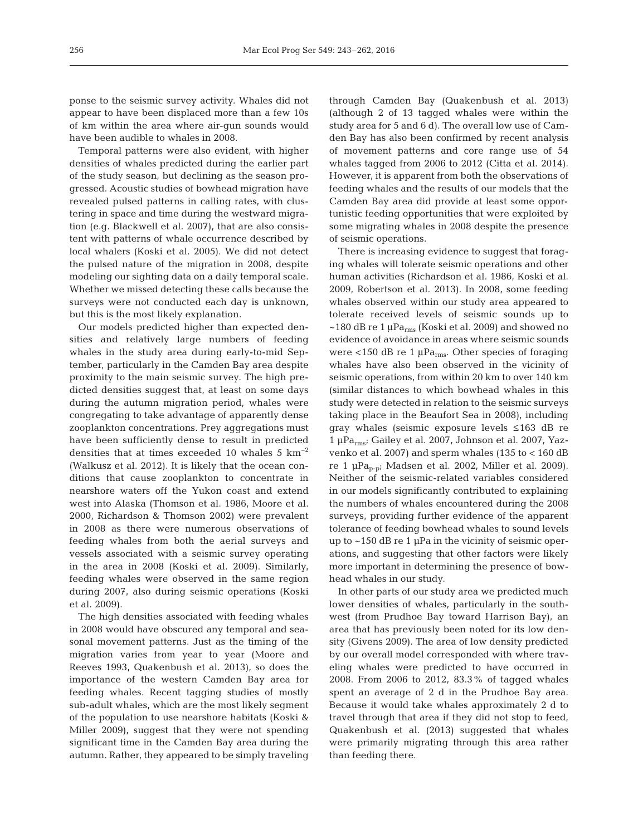ponse to the seismic survey activity. Whales did not appear to have been displaced more than a few 10s of km within the area where air-gun sounds would have been audible to whales in 2008.

Temporal patterns were also evident, with higher densities of whales predicted during the earlier part of the study season, but declining as the season progressed. Acoustic studies of bowhead migration have revealed pulsed patterns in calling rates, with clustering in space and time during the westward migration (e.g. Blackwell et al. 2007), that are also consistent with patterns of whale occurrence described by local whalers (Koski et al. 2005). We did not detect the pulsed nature of the migration in 2008, despite modeling our sighting data on a daily temporal scale. Whether we missed detecting these calls because the surveys were not conducted each day is unknown, but this is the most likely explanation.

Our models predicted higher than expected densities and relatively large numbers of feeding whales in the study area during early-to-mid September, particularly in the Camden Bay area despite proximity to the main seismic survey. The high predicted densities suggest that, at least on some days during the autumn migration period, whales were congregating to take advantage of apparently dense zooplankton concentrations. Prey aggregations must have been sufficiently dense to result in predicted densities that at times exceeded 10 whales 5  $km<sup>-2</sup>$ (Walkusz et al. 2012). It is likely that the ocean conditions that cause zooplankton to concentrate in nearshore waters off the Yukon coast and extend west into Alaska (Thomson et al. 1986, Moore et al. 2000, Richardson & Thomson 2002) were prevalent in 2008 as there were numerous observations of feeding whales from both the aerial surveys and vessels associated with a seismic survey operating in the area in 2008 (Koski et al. 2009). Similarly, feeding whales were observed in the same region during 2007, also during seismic operations (Koski et al. 2009).

The high densities associated with feeding whales in 2008 would have obscured any temporal and seasonal movement patterns. Just as the timing of the migration varies from year to year (Moore and Reeves 1993, Quakenbush et al. 2013), so does the importance of the western Camden Bay area for feeding whales. Recent tagging studies of mostly sub-adult whales, which are the most likely segment of the population to use nearshore habitats (Koski & Miller 2009), suggest that they were not spending significant time in the Camden Bay area during the autumn. Rather, they appeared to be simply traveling

through Camden Bay (Quakenbush et al. 2013) (although 2 of 13 tagged whales were within the study area for 5 and 6 d). The overall low use of Camden Bay has also been confirmed by recent analysis of movement patterns and core range use of 54 whales tagged from 2006 to 2012 (Citta et al. 2014). However, it is apparent from both the observations of feeding whales and the results of our models that the Camden Bay area did provide at least some opportunistic feeding opportunities that were exploited by some migrating whales in 2008 despite the presence of seismic operations.

There is increasing evidence to suggest that foraging whales will tolerate seismic operations and other human activities (Richardson et al. 1986, Koski et al. 2009, Robertson et al. 2013). In 2008, some feeding whales observed within our study area appeared to tolerate received levels of seismic sounds up to  $\sim$ 180 dB re 1 µPa<sub>rms</sub> (Koski et al. 2009) and showed no evidence of avoidance in areas where seismic sounds were <150 dB re 1  $\mu$ Pa<sub>rms</sub>. Other species of foraging whales have also been observed in the vicinity of seismic operations, from within 20 km to over 140 km (similar distances to which bowhead whales in this study were detected in relation to the seismic surveys taking place in the Beaufort Sea in 2008), including gray whales (seismic exposure levels ≤163 dB re 1 μParms; Gailey et al. 2007, Johnson et al. 2007, Yaz venko et al. 2007) and sperm whales (135 to < 160 dB re 1  $\mu$ Pa<sub>p-pi</sub> Madsen et al. 2002, Miller et al. 2009). Neither of the seismic-related variables considered in our models significantly contributed to explaining the numbers of whales encountered during the 2008 surveys, providing further evidence of the apparent tolerance of feeding bowhead whales to sound levels up to ~150 dB re 1 μPa in the vicinity of seismic operations, and suggesting that other factors were likely more important in determining the presence of bowhead whales in our study.

In other parts of our study area we predicted much lower densities of whales, particularly in the southwest (from Prudhoe Bay toward Harrison Bay), an area that has previously been noted for its low density (Givens 2009). The area of low density predicted by our overall model corresponded with where traveling whales were predicted to have occurred in 2008. From 2006 to 2012, 83.3% of tagged whales spent an average of 2 d in the Prudhoe Bay area. Because it would take whales approximately 2 d to travel through that area if they did not stop to feed, Quakenbush et al. (2013) suggested that whales were primarily migrating through this area rather than feeding there.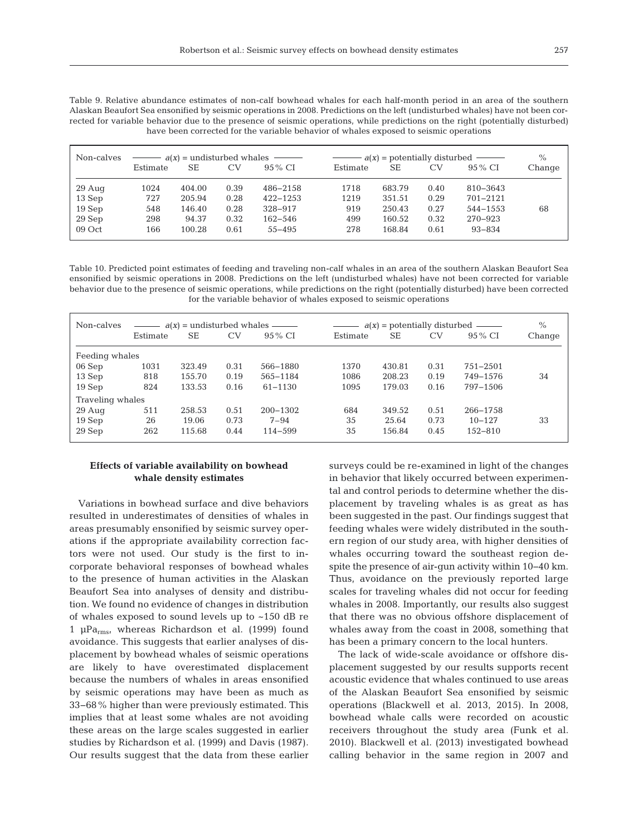| Table 9. Relative abundance estimates of non-calf bowhead whales for each half-month period in an area of the southern         |
|--------------------------------------------------------------------------------------------------------------------------------|
| Alaskan Beaufort Sea ensonified by seismic operations in 2008. Predictions on the left (undisturbed whales) have not been cor- |
| rected for variable behavior due to the presence of seismic operations, while predictions on the right (potentially disturbed) |
| have been corrected for the variable behavior of whales exposed to seismic operations                                          |

| Non-calves | $\frac{d(x)}{dx}$ = undisturbed whales $\frac{d(x)}{dx}$ |        |      |              | $\frac{d}{dx}$ = potentially disturbed $\frac{d}{dx}$ |        |      |            | $\frac{0}{0}$ |
|------------|----------------------------------------------------------|--------|------|--------------|-------------------------------------------------------|--------|------|------------|---------------|
|            | Estimate                                                 | SЕ     | CV   | 95 % CI      | Estimate                                              | SЕ     | CV   | $95\%$ CI  | Change        |
| $29$ Aug   | 1024                                                     | 404.00 | 0.39 | 486-2158     | 1718                                                  | 683.79 | 0.40 | 810-3643   |               |
| 13 Sep     | 727                                                      | 205.94 | 0.28 | $422 - 1253$ | 1219                                                  | 351.51 | 0.29 | 701-2121   |               |
| 19 Sep     | 548                                                      | 146.40 | 0.28 | 328-917      | 919                                                   | 250.43 | 0.27 | 544-1553   | 68            |
| $29$ Sep   | 298                                                      | 94.37  | 0.32 | $162 - 546$  | 499                                                   | 160.52 | 0.32 | 270-923    |               |
| 09 Oct     | 166                                                      | 100.28 | 0.61 | $55 - 495$   | 278                                                   | 168.84 | 0.61 | $93 - 834$ |               |

Table 10. Predicted point estimates of feeding and traveling non-calf whales in an area of the southern Alaskan Beaufort Sea ensonified by seismic operations in 2008. Predictions on the left (undisturbed whales) have not been corrected for variable behavior due to the presence of seismic operations, while predictions on the right (potentially disturbed) have been corrected for the variable behavior of whales exposed to seismic operations

| Non-calves       | $a(x)$ = undisturbed whales — |        |           | $a(x)$ = potentially disturbed $\_\_$ |          |        |      | $\%$         |        |
|------------------|-------------------------------|--------|-----------|---------------------------------------|----------|--------|------|--------------|--------|
|                  | Estimate                      | SЕ     | <b>CV</b> | 95 % CI                               | Estimate | SЕ     | CV   | 95 % CI      | Change |
| Feeding whales   |                               |        |           |                                       |          |        |      |              |        |
| 06 Sep           | 1031                          | 323.49 | 0.31      | 566-1880                              | 1370     | 430.81 | 0.31 | $751 - 2501$ |        |
| 13 Sep           | 818                           | 155.70 | 0.19      | 565-1184                              | 1086     | 208.23 | 0.19 | 749-1576     | 34     |
| 19 Sep           | 824                           | 133.53 | 0.16      | $61 - 1130$                           | 1095     | 179.03 | 0.16 | 797-1506     |        |
| Traveling whales |                               |        |           |                                       |          |        |      |              |        |
| $29$ Aug         | 511                           | 258.53 | 0.51      | $200 - 1302$                          | 684      | 349.52 | 0.51 | 266-1758     |        |
| 19 Sep           | 26                            | 19.06  | 0.73      | $7 - 94$                              | 35       | 25.64  | 0.73 | $10 - 127$   | 33     |
| 29 Sep           | 262                           | 115.68 | 0.44      | $114 - 599$                           | 35       | 156.84 | 0.45 | $152 - 810$  |        |

## **Effects of variable availability on bowhead whale density estimates**

Variations in bowhead surface and dive behaviors resulted in underestimates of densities of whales in areas presumably ensonified by seismic survey operations if the appropriate availability correction factors were not used. Our study is the first to incorporate behavioral responses of bowhead whales to the presence of human activities in the Alaskan Beaufort Sea into analyses of density and distribution. We found no evidence of changes in distribution of whales exposed to sound levels up to ~150 dB re 1 μParms, whereas Richardson et al. (1999) found avoidance. This suggests that earlier analyses of displacement by bowhead whales of seismic operations are likely to have overestimated displacement because the numbers of whales in areas ensonified by seismic operations may have been as much as 33−68% higher than were previously estimated. This implies that at least some whales are not avoiding these areas on the large scales suggested in earlier studies by Richardson et al. (1999) and Davis (1987). Our results suggest that the data from these earlier

surveys could be re-examined in light of the changes in behavior that likely occurred between experimental and control periods to determine whether the displacement by traveling whales is as great as has been suggested in the past. Our findings suggest that feeding whales were widely distributed in the southern region of our study area, with higher densities of whales occurring toward the southeast region despite the presence of air-gun activity within 10−40 km. Thus, avoidance on the previously reported large scales for traveling whales did not occur for feeding whales in 2008. Importantly, our results also suggest that there was no obvious offshore displacement of whales away from the coast in 2008, something that has been a primary concern to the local hunters.

The lack of wide-scale avoidance or offshore displacement suggested by our results supports recent acoustic evidence that whales continued to use areas of the Alaskan Beaufort Sea ensonified by seismic operations (Blackwell et al. 2013, 2015). In 2008, bowhead whale calls were recorded on acoustic receivers throughout the study area (Funk et al. 2010). Blackwell et al. (2013) investigated bowhead calling behavior in the same region in 2007 and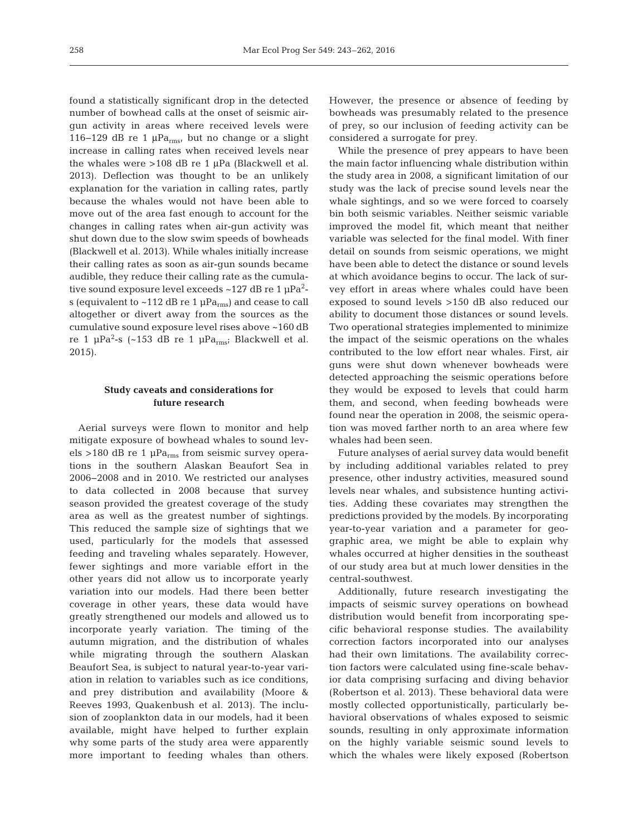found a statistically significant drop in the detected number of bowhead calls at the onset of seismic airgun activity in areas where received levels were 116−129 dB re 1 μParms, but no change or a slight increase in calling rates when received levels near the whales were >108 dB re 1 μPa (Blackwell et al. 2013). Deflection was thought to be an unlikely explanation for the variation in calling rates, partly because the whales would not have been able to move out of the area fast enough to account for the changes in calling rates when air-gun activity was shut down due to the slow swim speeds of bowheads (Blackwell et al. 2013). While whales initially increase their calling rates as soon as air-gun sounds became audible, they reduce their calling rate as the cumulative sound exposure level exceeds ~127 dB re 1  $\mu$ Pa<sup>2</sup>s (equivalent to  $\sim$ 112 dB re 1 µPa<sub>rms</sub>) and cease to call altogether or divert away from the sources as the cumulative sound exposure level rises above ~160 dB re 1 μPa<sup>2</sup>-s (~153 dB re 1 μPa<sub>rms</sub>; Blackwell et al. 2015).

# **Study caveats and considerations for future research**

Aerial surveys were flown to monitor and help mitigate exposure of bowhead whales to sound levels >180 dB re 1  $\mu$ Pa<sub>rms</sub> from seismic survey operations in the southern Alaskan Beaufort Sea in 2006−2008 and in 2010. We restricted our analyses to data collected in 2008 because that survey season provided the greatest coverage of the study area as well as the greatest number of sightings. This reduced the sample size of sightings that we used, particularly for the models that assessed feeding and traveling whales separately. However, fewer sightings and more variable effort in the other years did not allow us to incorporate yearly variation into our models. Had there been better coverage in other years, these data would have greatly strengthened our models and allowed us to incorporate yearly variation. The timing of the autumn migration, and the distribution of whales while migrating through the southern Alaskan Beaufort Sea, is subject to natural year-to-year variation in relation to variables such as ice conditions, and prey distribution and availability (Moore & Reeves 1993, Quakenbush et al. 2013). The inclusion of zooplankton data in our models, had it been available, might have helped to further explain why some parts of the study area were apparently more important to feeding whales than others.

However, the presence or absence of feeding by bowheads was presumably related to the presence of prey, so our inclusion of feeding activity can be considered a surrogate for prey.

While the presence of prey appears to have been the main factor influencing whale distribution within the study area in 2008, a significant limitation of our study was the lack of precise sound levels near the whale sightings, and so we were forced to coarsely bin both seismic variables. Neither seismic variable improved the model fit, which meant that neither variable was selected for the final model. With finer detail on sounds from seismic operations, we might have been able to detect the distance or sound levels at which avoidance begins to occur. The lack of survey effort in areas where whales could have been exposed to sound levels >150 dB also reduced our ability to document those distances or sound levels. Two operational strategies implemented to minimize the impact of the seismic operations on the whales contributed to the low effort near whales. First, air guns were shut down whenever bowheads were detected approaching the seismic operations before they would be exposed to levels that could harm them, and second, when feeding bowheads were found near the operation in 2008, the seismic operation was moved farther north to an area where few whales had been seen.

Future analyses of aerial survey data would benefit by including additional variables related to prey presence, other industry activities, measured sound levels near whales, and subsistence hunting activities. Adding these covariates may strengthen the predictions provided by the models. By incorporating year-to-year variation and a parameter for geographic area, we might be able to explain why whales occurred at higher densities in the southeast of our study area but at much lower densities in the central-southwest.

Additionally, future research investigating the im pacts of seismic survey operations on bowhead distribution would benefit from incorporating specific behavioral response studies. The availability correction factors incorporated into our analyses had their own limitations. The availability correction factors were calculated using fine-scale behavior data comprising surfacing and diving behavior (Robertson et al. 2013). These behavioral data were mostly collected opportunistically, particularly behavioral observations of whales exposed to seismic sounds, resulting in only approximate information on the highly variable seismic sound levels to which the whales were likely exposed (Robertson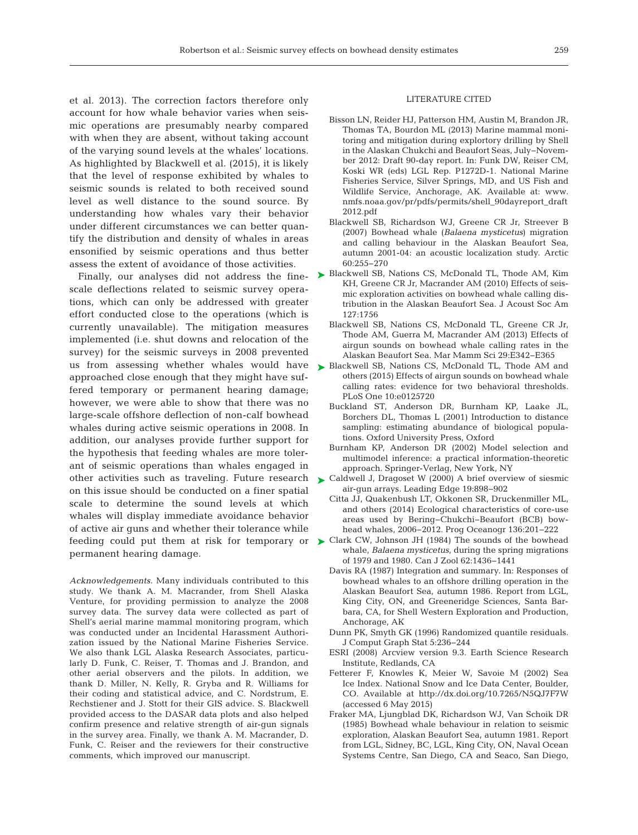et al. 2013). The correction factors therefore only account for how whale behavior varies when seismic operations are presumably nearby compared with when they are absent, without taking account of the varying sound levels at the whales' locations. As highlighted by Blackwell et al. (2015), it is likely that the level of response exhibited by whales to seismic sounds is related to both received sound level as well distance to the sound source. By understanding how whales vary their behavior under different circumstances we can better quantify the distribution and density of whales in areas ensonified by seismic operations and thus better assess the extent of avoidance of those activities.

Finally, our analyses did not address the finescale deflections related to seismic survey operations, which can only be addressed with greater effort conducted close to the operations (which is currently unavailable). The mitigation measures implemented (i.e. shut downs and relocation of the survey) for the seismic surveys in 2008 prevented us from assessing whether whales would have approached close enough that they might have suffered temporary or permanent hearing damage; however, we were able to show that there was no large-scale offshore deflection of non-calf bowhead whales during active seismic operations in 2008. In addition, our analyses provide further support for the hypothesis that feeding whales are more tolerant of seismic operations than whales engaged in other activities such as traveling. Future research  $\triangleright$  [Caldwell J, Dragoset W \(2000\) A brief overview of siesmic](http://dx.doi.org/10.1190/1.1438744) on this issue should be conducted on a finer spatial scale to determine the sound levels at which whales will display immediate avoidance behavior of active air guns and whether their tolerance while permanent hearing damage.

*Acknowledgements*. Many individuals contributed to this study. We thank A. M. Macrander, from Shell Alaska Venture, for providing permission to analyze the 2008 survey data. The survey data were collected as part of Shell's aerial marine mammal monitoring program, which was conducted under an Incidental Harassment Authorization issued by the National Marine Fisheries Service. We also thank LGL Alaska Research Associates, particularly D. Funk, C. Reiser, T. Thomas and J. Brandon, and other aerial observers and the pilots. In addition, we thank D. Miller, N. Kelly, R. Gryba and R. Williams for their coding and statistical advice, and C. Nordstrum, E. Rechstiener and J. Stott for their GIS advice. S. Blackwell provided access to the DASAR data plots and also helped confirm presence and relative strength of air-gun signals in the survey area. Finally, we thank A. M. Macrander, D. Funk, C. Reiser and the reviewers for their constructive comments, which improved our manuscript.

#### LITERATURE CITED

- Bisson LN, Reider HJ, Patterson HM, Austin M, Brandon JR, Thomas TA, Bourdon ML (2013) Marine mammal monitoring and mitigation during explortory drilling by Shell in the Alaskan Chukchi and Beaufort Seas, July−November 2012: Draft 90-day report. In: Funk DW, Reiser CM, Koski WR (eds) LGL Rep. P1272D-1. National Marine Fisheries Service, Silver Springs, MD, and US Fish and Wildlife Service, Anchorage, AK. Available at:www. nmfs.noaa.gov/pr/pdfs/permits/shell\_90dayreport\_draft 2012.pdf
- Blackwell SB, Richardson WJ, Greene CR Jr, Streever B (2007) Bowhead whale (*Balaena mysticetus*) migration and calling behaviour in the Alaskan Beaufort Sea, autumn 2001-04: an acoustic localization study. Arctic 60: 255−270
- ► [Blackwell SB, Nations CS, McDonald TL, Thode AM, Kim](http://dx.doi.org/10.1121/1.3383702) KH, Greene CR Jr, Macrander AM (2010) Effects of seismic exploration activities on bowhead whale calling distribution in the Alaskan Beaufort Sea. J Acoust Soc Am 127: 1756
	- Blackwell SB, Nations CS, McDonald TL, Greene CR Jr, Thode AM, Guerra M, Macrander AM (2013) Effects of airgun sounds on bowhead whale calling rates in the Alaskan Beaufort Sea. Mar Mamm Sci 29:E342-E365
- ▶ [Blackwell SB, Nations CS, McDonald TL, Thode AM and](http://dx.doi.org/10.1371/journal.pone.0125720) others (2015) Effects of airgun sounds on bowhead whale calling rates: evidence for two behavioral thresholds. PLoS One 10:e0125720
	- Buckland ST, Anderson DR, Burnham KP, Laake JL, Borchers DL, Thomas L (2001) Introduction to distance sampling: estimating abundance of biological populations. Oxford University Press, Oxford
	- Burnham KP, Anderson DR (2002) Model selection and multimodel inference: a practical information-theoretic approach. Springer-Verlag, New York, NY
	- air-gun arrays. Leading Edge 19: 898−902
	- Citta JJ, Quakenbush LT, Okkonen SR, Druckenmiller ML, and others (2014) Ecological characteristics of core-use areas used by Bering−Chukchi−Beaufort (BCB) bowhead whales, 2006−2012. Prog Oceanogr 136: 201−222
- feeding could put them at risk for temporary or  $\blacktriangleright$  [Clark CW, Johnson JH \(1984\) The sounds of the bowhead](http://dx.doi.org/10.1139/z84-206) whale, *Balaena mysticetus*, during the spring migrations of 1979 and 1980. Can J Zool 62: 1436−1441
	- Davis RA (1987) Integration and summary. In: Responses of bowhead whales to an offshore drilling operation in the Alaskan Beaufort Sea, autumn 1986. Report from LGL, King City, ON, and Greeneridge Sciences, Santa Barbara, CA, for Shell Western Exploration and Production, Anchorage, AK
	- Dunn PK, Smyth GK (1996) Randomized quantile residuals. J Comput Graph Stat 5: 236−244
	- ESRI (2008) Arcview version 9.3. Earth Science Research Institute, Redlands, CA
	- Fetterer F, Knowles K, Meier W, Savoie M (2002) Sea Ice Index. National Snow and Ice Data Center, Boulder, CO. Available at http://dx.doi.org/10.7265/N5QJ7F7W (accessed 6 May 2015)
	- Fraker MA, Ljungblad DK, Richardson WJ, Van Schoik DR (1985) Bowhead whale behaviour in relation to seismic exploration, Alaskan Beaufort Sea, autumn 1981. Report from LGL, Sidney, BC, LGL, King City, ON, Naval Ocean Systems Centre, San Diego, CA and Seaco, San Diego,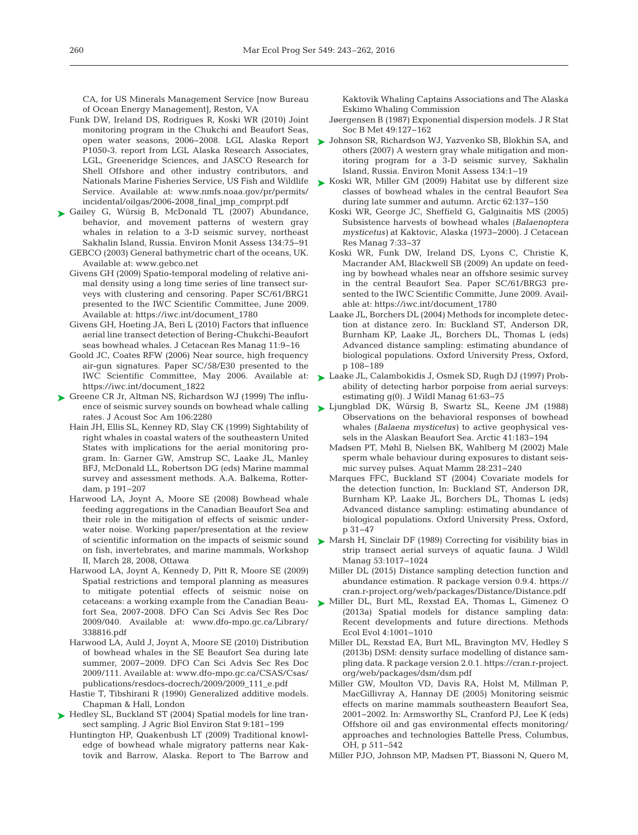CA, for US Minerals Management Service [now Bureau of Ocean Energy Management], Reston, VA

- Funk DW, Ireland DS, Rodrigues R, Koski WR (2010) Joint monitoring program in the Chukchi and Beaufort Seas, open water seasons, 2006−2008. LGL Alaska Report P1050-3. report from LGL Alaska Research Associates, LGL, Greeneridge Sciences, and JASCO Research for Shell Offshore and other industry contributors, and Nationals Marine Fisheries Service, US Fish and Wildlife Service. Available at: www.nmfs.noaa.gov/pr/permits/ incidental/oilgas/2006-2008\_final\_jmp\_comprpt.pdf
- ► [Gailey G, Würsig B, McDonald TL \(2007\) Abundance,](http://dx.doi.org/10.1007/s10661-007-9812-1) behavior, and movement patterns of western gray whales in relation to a 3-D seismic survey, northeast Sakhalin Island, Russia. Environ Monit Assess 134:75−91
	- GEBCO (2003) General bathymetric chart of the oceans, UK. Available at:www.gebco.net
	- Givens GH (2009) Spatio-temporal modeling of relative animal density using a long time series of line transect surveys with clustering and censoring. Paper SC/61/BRG1 presented to the IWC Scientific Committee, June 2009. Available at: https://iwc.int/document\_1780
	- Givens GH, Hoeting JA, Beri L (2010) Factors that influence aerial line transect detection of Bering-Chukchi-Beaufort seas bowhead whales. J Cetacean Res Manag 11:9-16
	- Goold JC, Coates RFW (2006) Near source, high frequency air-gun signatures. Paper SC/58/E30 presented to the IWC Scientific Committee, May 2006. Available at: https://iwc.int/document\_1822
- ► [Greene CR Jr, Altman NS, Richardson WJ \(1999\) The influ](http://dx.doi.org/10.1121/1.427798)ence of seismic survey sounds on bowhead whale calling rates. J Acoust Soc Am 106:2280
	- Hain JH, Ellis SL, Kenney RD, Slay CK (1999) Sightability of right whales in coastal waters of the southeastern United States with implications for the aerial monitoring program. In:Garner GW, Amstrup SC, Laake JL, Manley BFJ, McDonald LL, Robertson DG (eds) Marine mammal survey and assessment methods. A.A. Balkema, Rotterdam, p 191−207
	- Harwood LA, Joynt A, Moore SE (2008) Bowhead whale feeding aggregations in the Canadian Beaufort Sea and their role in the mitigation of effects of seismic under water noise. Working paper/presentation at the review of scientific information on the impacts of seismic sound on fish, invertebrates, and marine mammals, Workshop II, March 28, 2008, Ottawa
	- Harwood LA, Joynt A, Kennedy D, Pitt R, Moore SE (2009) Spatial restrictions and temporal planning as measures to mitigate potential effects of seismic noise on cetaceans:a working example from the Canadian Beaufort Sea, 2007-2008. DFO Can Sci Advis Sec Res Doc 2009/040. Available at:www.dfo-mpo.gc.ca/Library/ 338816.pdf
	- Harwood LA, Auld J, Joynt A, Moore SE (2010) Distribution of bowhead whales in the SE Beaufort Sea during late summer, 2007−2009. DFO Can Sci Advis Sec Res Doc 2009/111. Available at: www.dfo-mpo.gc.ca/CSAS/Csas/ publications/resdocs-docrech/2009/2009\_111\_e.pdf
	- Hastie T, Tibshirani R (1990) Generalized additive models. Chapman & Hall, London
- ► [Hedley SL, Buckland ST \(2004\) Spatial models for line tran](http://dx.doi.org/10.1198/1085711043578)sect sampling. J Agric Biol Environ Stat 9: 181−199
	- Huntington HP, Quakenbush LT (2009) Traditional knowledge of bowhead whale migratory patterns near Kaktovik and Barrow, Alaska. Report to The Barrow and

Kaktovik Whaling Captains Associations and The Alaska Eskimo Whaling Commission

- Jøergensen B (1987) Exponential dispersion models. J R Stat Soc B Met 49:127-162
- [Johnson SR, Richardson WJ, Yazvenko SB, Blokhin SA, and](http://dx.doi.org/10.1007/s10661-007-9813-0) ➤ others (2007) A western gray whale mitigation and monitoring program for a 3-D seismic survey, Sakhalin Island, Russia. Environ Monit Assess 134: 1−19
- ► [Koski WR, Miller GM \(2009\) Habitat use by different size](http://dx.doi.org/10.14430/arctic127) classes of bowhead whales in the central Beaufort Sea during late summer and autumn. Arctic 62:137-150
	- Koski WR, George JC, Sheffield G, Galginaitis MS (2005) Subsistence harvests of bowhead whales (*Balaenoptera mysticetus)* at Kaktovic, Alaska (1973−2000). J Cetacean Res Manag 7:33-37
	- Koski WR, Funk DW, Ireland DS, Lyons C, Christie K, Macrander AM, Blackwell SB (2009) An update on feeding by bowhead whales near an offshore sesimic survey in the central Beaufort Sea. Paper SC/61/BRG3 presented to the IWC Scientific Committe, June 2009. Available at: https://iwc.int/document\_1780
	- Laake JL, Borchers DL (2004) Methods for incomplete detection at distance zero. In: Buckland ST, Anderson DR, Burnham KP, Laake JL, Borchers DL, Thomas L (eds) Advanced distance sampling: estimating abundance of biological populations. Oxford University Press, Oxford, p 108−189
- [Laake JL, Calambokidis J, Osmek SD, Rugh DJ \(1997\) Prob-](http://dx.doi.org/10.2307/3802415)➤ ability of detecting harbor porpoise from aerial surveys: estimating  $g(0)$ . J Wildl Manag 61:63-75
- [Ljungblad DK, Würsig B, Swartz SL, Keene JM \(1988\)](http://dx.doi.org/10.14430/arctic1717) ➤ Observations on the behavioral responses of bowhead whales (*Balaena mysticetus)* to active geophysical vessels in the Alaskan Beaufort Sea. Arctic 41: 183−194
	- Madsen PT, Møhl B, Nielsen BK, Wahlberg M (2002) Male sperm whale behaviour during exposures to distant seismic survey pulses. Aquat Mamm 28:231-240
	- Marques FFC, Buckland ST (2004) Covariate models for the detection function, In: Buckland ST, Anderson DR, Burnham KP, Laake JL, Borchers DL, Thomas L (eds) Advanced distance sampling: estimating abundance of biological populations. Oxford University Press, Oxford, p 31−47
- ▶ [Marsh H, Sinclair DF \(1989\) Correcting for visibility bias in](http://dx.doi.org/10.1016/j.dsr.2009.02.008) strip transect aerial surveys of aquatic fauna. J Wildl Manag 53: 1017−1024
	- Miller DL (2015) Distance sampling detection function and abundance estimation. R package version 0.9.4. https:// cran.r-project.org/web/packages/Distance/Distance.pdf
- [Miller DL, Burt ML, Rexstad EA, Thomas L, Gimenez O](http://dx.doi.org/10.1111/2041-210X.12105) ➤ (2013a) Spatial models for distance sampling data: Recent developments and future directions. Methods Ecol Evol 4: 1001−1010
	- Miller DL, Rexstad EA, Burt ML, Bravington MV, Hedley S (2013b) DSM: density surface modelling of distance sampling data. R package version 2.0.1. https://cran.r- project. org/web/packages/dsm/dsm.pdf
	- Miller GW, Moulton VD, Davis RA, Holst M, Millman P, MacGillivray A, Hannay DE (2005) Monitoring seismic effects on marine mammals southeastern Beaufort Sea, 2001−2002. In:Armsworthy SL, Cranford PJ, Lee K (eds) Offshore oil and gas environmental effects monitoring/ approaches and technologies Battelle Press, Columbus, OH, p 511−542
	- Miller PJO, Johnson MP, Madsen PT, Biassoni N, Quero M,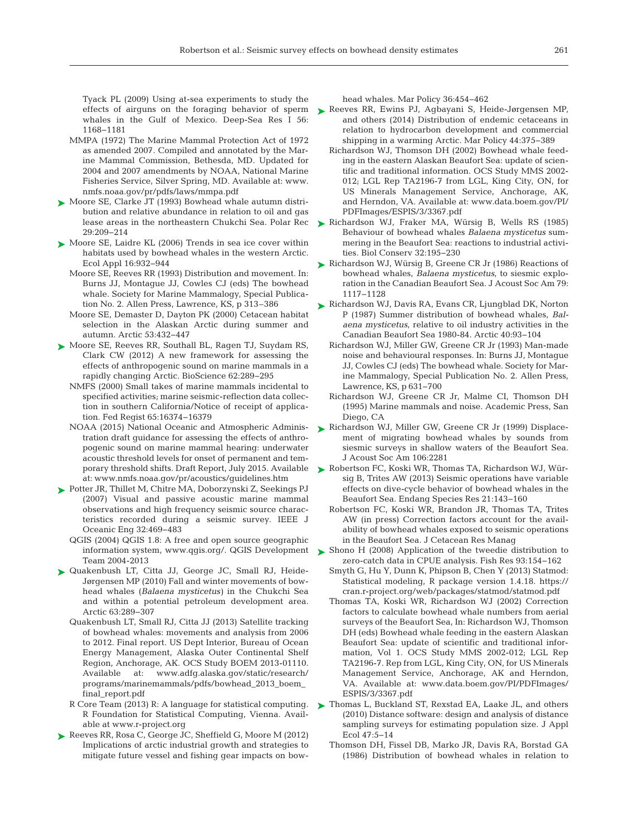Tyack PL (2009) Using at-sea experiments to study the whales in the Gulf of Mexico. Deep-Sea Res I 56: 1168−1181

- MMPA (1972) The Marine Mammal Protection Act of 1972 as amended 2007. Compiled and annotated by the Marine Mammal Commission, Bethesda, MD. Updated for 2004 and 2007 amendments by NOAA, National Marine Fisheries Service, Silver Spring, MD. Available at:www. nmfs.noaa.gov/pr/pdfs/laws/mmpa.pdf
- ► [Moore SE, Clarke JT \(1993\) Bowhead whale autumn distri](http://dx.doi.org/10.1017/S0032247400018507)bution and relative abundance in relation to oil and gas lease areas in the northeastern Chukchi Sea. Polar Rec 29: 209−214
- ► [Moore SE, Laidre KL \(2006\) Trends in sea ice cover within](http://dx.doi.org/10.1890/1051-0761(2006)016%5b0932%3ATISICW%5d2.0.CO%3B2) habitats used by bowhead whales in the western Arctic. Ecol Appl 16: 932−944
	- Moore SE, Reeves RR (1993) Distribution and movement. In: Burns JJ, Montague JJ, Cowles CJ (eds) The bowhead whale. Society for Marine Mammalogy, Special Publication No. 2. Allen Press, Lawrence, KS, p 313–386
	- Moore SE, Demaster D, Dayton PK (2000) Cetacean habitat selection in the Alaskan Arctic during summer and autumn. Arctic 53: 432−447
- [Moore SE, Reeves RR, Southall BL, Ragen TJ, Suydam RS,](http://dx.doi.org/10.1525/bio.2012.62.3.10) ➤ Clark CW (2012) A new framework for assessing the effects of anthropogenic sound on marine mammals in a rapidly changing Arctic. BioScience 62:289-295
	- NMFS (2000) Small takes of marine mammals incidental to specified activities; marine seismic-reflection data collection in southern California/Notice of receipt of application. Fed Regist 65: 16374−16379
	- NOAA (2015) National Oceanic and Atmospheric Administration draft guidance for assessing the effects of anthropogenic sound on marine mammal hearing: underwater acoustic threshold levels for onset of permanent and temporary threshold shifts. Draft Report, July 2015. Available at:www.nmfs.noaa.gov/pr/acoustics/guidelines. htm
- [Potter JR, Thillet M, Chitre MA, Doborzynski Z, Seekings PJ](http://dx.doi.org/10.1109/JOE.2006.880427) ➤ (2007) Visual and passive acoustic marine mammal observations and high frequency seismic source characteristics recorded during a seismic survey. IEEE J Oceanic Eng 32: 469−483
	- QGIS (2004) QGIS 1.8:A free and open source geographic information system, www.qgis.org/. QGIS Development Team 2004-2013
- [Quakenbush LT, Citta JJ, George JC, Small RJ, Heide-](http://dx.doi.org/10.14430/arctic1493)➤ Jørgensen MP (2010) Fall and winter movements of bowhead whales (*Balaena mysticetus)* in the Chukchi Sea and within a potential petroleum development area. Arctic 63: 289−307
	- Quakenbush LT, Small RJ, Citta JJ (2013) Satellite tracking of bowhead whales: movements and analysis from 2006 to 2012. Final report. US Dept Interior, Bureau of Ocean Energy Management, Alaska Outer Continental Shelf Region, Anchorage, AK. OCS Study BOEM 2013-01110. Available at:www.adfg.alaska.gov/static/research/ programs/marinemammals/pdfs/bowhead\_2013\_boem\_ final\_report.pdf
	- R Core Team (2013) R: A language for statistical computing. R Foundation for Statistical Computing, Vienna. Available at www.r-project.org
- ▶ [Reeves RR, Rosa C, George JC, Sheffield G, Moore M \(2012\)](http://dx.doi.org/10.1016/j.marpol.2011.08.005) Implications of arctic industrial growth and strategies to mitigate future vessel and fishing gear impacts on bow-

head whales. Mar Policy 36:454-462

- effects of airguns on the foraging behavior of sperm [Reeves RR, Ewins PJ, Agbayani S, Heide-Jørgensen MP,](http://dx.doi.org/10.1016/j.marpol.2013.10.005) and others (2014) Distribution of endemic cetaceans in relation to hydrocarbon development and commercial shipping in a warming Arctic. Mar Policy 44:375-389
	- Richardson WJ, Thomson DH (2002) Bowhead whale feeding in the eastern Alaskan Beaufort Sea: update of scientific and traditional information. OCS Study MMS 2002- 012; LGL Rep TA2196-7 from LGL, King City, ON, for US Minerals Management Service, Anchorage, AK, and Herndon, VA. Available at: www.data.boem.gov/PI/ PDFImages/ESPIS/3/3367.pdf
	- [Richardson WJ, Fraker MA, Würsig B, Wells RS \(1985\)](http://dx.doi.org/10.1016/0006-3207(85)90111-9) ➤ Behaviour of bowhead whales *Balaena mysticetus* summering in the Beaufort Sea: reactions to industrial activities. Biol Conserv 32: 195−230
	- ► [Richardson WJ, Würsig B, Greene CR Jr \(1986\) Reactions of](http://dx.doi.org/10.1121/1.393384) bowhead whales, *Balaena mysticetus*, to siesmic exploration in the Canadian Beaufort Sea. J Acoust Soc Am 79: 1117−1128
	- ► [Richardson WJ, Davis RA, Evans CR, Ljungblad DK, Norton](http://dx.doi.org/10.14430/arctic1753) P (1987) Summer distribution of bowhead whales, *Balaena mysticetus*, relative to oil industry activities in the Canadian Beaufort Sea 1980-84. Arctic 40:93-104
		- Richardson WJ, Miller GW, Greene CR Jr (1993) Man-made noise and behavioural responses. In: Burns JJ, Montague JJ, Cowles CJ (eds) The bowhead whale. Society for Marine Mammalogy, Special Publication No. 2. Allen Press, Lawrence, KS, p 631−700
		- Richardson WJ, Greene CR Jr, Malme CI, Thomson DH (1995) Marine mammals and noise. Academic Press, San Diego, CA
	- ▶ [Richardson WJ, Miller GW, Greene CR Jr \(1999\) Displace](http://dx.doi.org/10.1121/1.427801)ment of migrating bowhead whales by sounds from siesmic surveys in shallow waters of the Beaufort Sea. J Acoust Soc Am 106: 2281
	- ▶ [Robertson FC, Koski WR, Thomas TA, Richardson WJ, Wür](http://dx.doi.org/10.3354/esr00515)sig B, Trites AW (2013) Seismic operations have variable effects on dive-cycle behavior of bowhead whales in the Beaufort Sea. Endang Species Res 21:143-160
		- Robertson FC, Koski WR, Brandon JR, Thomas TA, Trites AW (in press) Correction factors account for the availability of bowhead whales exposed to seismic operations in the Beaufort Sea. J Cetacean Res Manag
	- ▶ [Shono H \(2008\) Application of the tweedie distribution to](http://dx.doi.org/10.1016/j.fishres.2008.03.006) zero-catch data in CPUE analysis. Fish Res 93:154-162
		- Smyth G, Hu Y, Dunn K, Phipson B, Chen Y (2013) Statmod: Statistical modeling, R package version 1.4.18. https:// cran.r-project.org/web/packages/statmod/statmod.pdf
		- Thomas TA, Koski WR, Richardson WJ (2002) Correction factors to calculate bowhead whale numbers from aerial surveys of the Beaufort Sea, In: Richardson WJ, Thomson DH (eds) Bowhead whale feeding in the eastern Alaskan Beaufort Sea: update of scientific and traditional information, Vol 1. OCS Study MMS 2002-012; LGL Rep TA2196-7. Rep from LGL, King City, ON, for US Minerals Management Service, Anchorage, AK and Herndon, VA. Available at:www.data.boem.gov/PI/PDFImages/ ESPIS/3/3367.pdf
	- ▶ [Thomas L, Buckland ST, Rexstad EA, Laake JL, and others](http://dx.doi.org/10.1111/j.1365-2664.2009.01737.x) (2010) Distance software: design and analysis of distance sampling surveys for estimating population size. J Appl Ecol 47:5-14
		- Thomson DH, Fissel DB, Marko JR, Davis RA, Borstad GA (1986) Distribution of bowhead whales in relation to